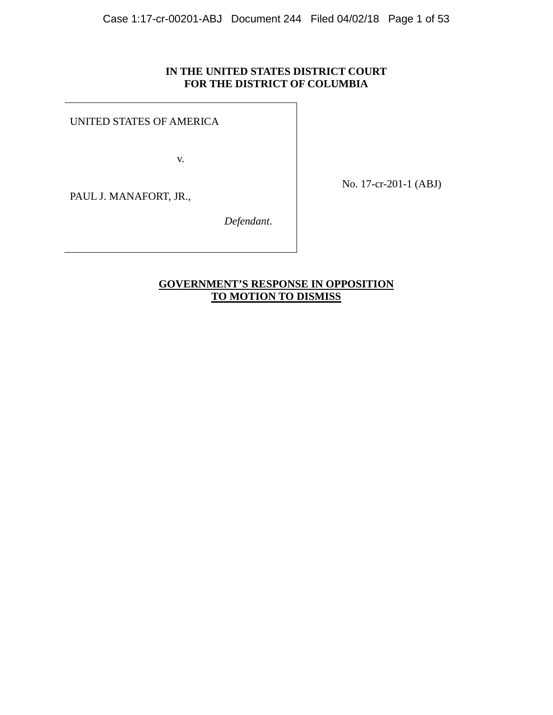## **IN THE UNITED STATES DISTRICT COURT FOR THE DISTRICT OF COLUMBIA**

UNITED STATES OF AMERICA

v.

PAUL J. MANAFORT, JR.,

No. 17-cr-201-1 (ABJ)

 *Defendant*.

## **GOVERNMENT'S RESPONSE IN OPPOSITION TO MOTION TO DISMISS**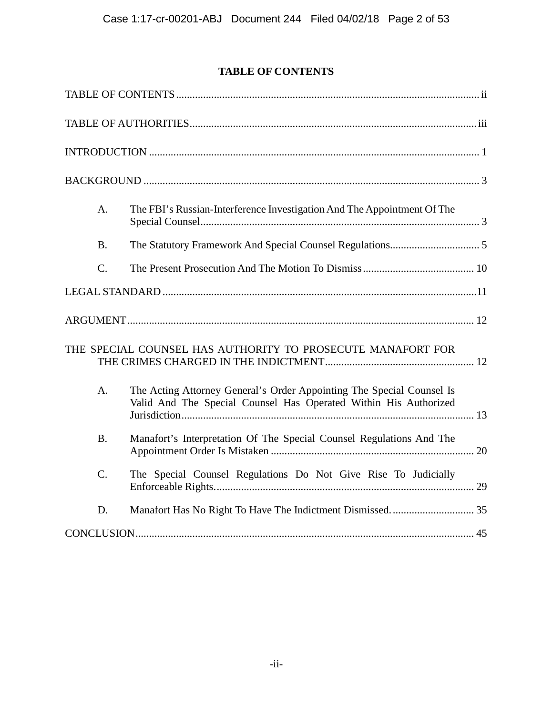# **TABLE OF CONTENTS**

| A.               | The FBI's Russian-Interference Investigation And The Appointment Of The                                                                   |  |
|------------------|-------------------------------------------------------------------------------------------------------------------------------------------|--|
| <b>B.</b>        |                                                                                                                                           |  |
| $C$ .            |                                                                                                                                           |  |
|                  |                                                                                                                                           |  |
|                  |                                                                                                                                           |  |
|                  | THE SPECIAL COUNSEL HAS AUTHORITY TO PROSECUTE MANAFORT FOR                                                                               |  |
| A.               | The Acting Attorney General's Order Appointing The Special Counsel Is<br>Valid And The Special Counsel Has Operated Within His Authorized |  |
| <b>B.</b>        | Manafort's Interpretation Of The Special Counsel Regulations And The                                                                      |  |
| $\overline{C}$ . | The Special Counsel Regulations Do Not Give Rise To Judicially                                                                            |  |
| D.               |                                                                                                                                           |  |
|                  |                                                                                                                                           |  |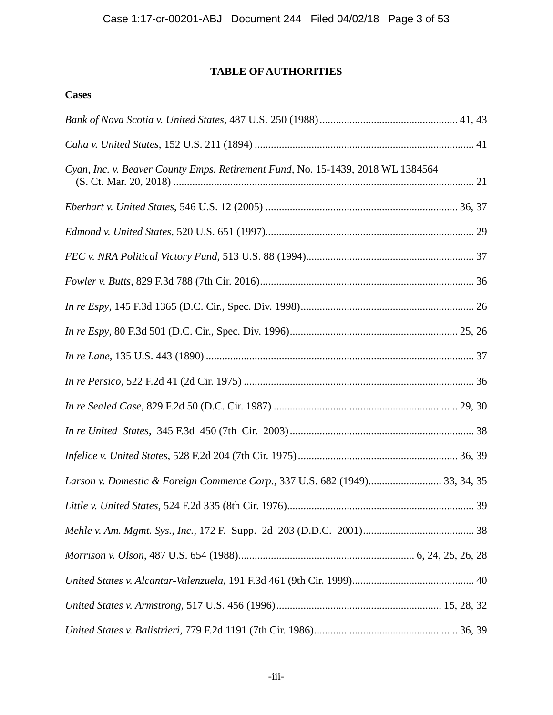# **TABLE OF AUTHORITIES**

## **Cases**

| Cyan, Inc. v. Beaver County Emps. Retirement Fund, No. 15-1439, 2018 WL 1384564 |  |
|---------------------------------------------------------------------------------|--|
|                                                                                 |  |
|                                                                                 |  |
|                                                                                 |  |
|                                                                                 |  |
|                                                                                 |  |
|                                                                                 |  |
|                                                                                 |  |
|                                                                                 |  |
|                                                                                 |  |
|                                                                                 |  |
|                                                                                 |  |
| Larson v. Domestic & Foreign Commerce Corp., 337 U.S. 682 (1949) 33, 34, 35     |  |
|                                                                                 |  |
|                                                                                 |  |
|                                                                                 |  |
|                                                                                 |  |
|                                                                                 |  |
|                                                                                 |  |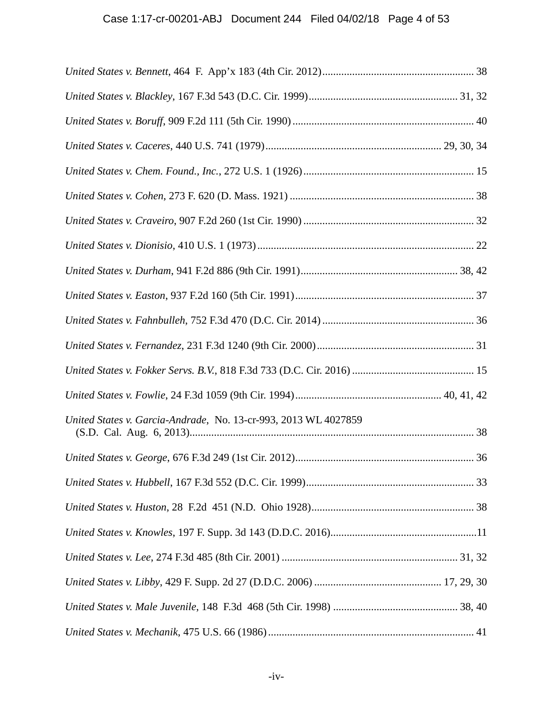| United States v. Garcia-Andrade, No. 13-cr-993, 2013 WL 4027859 |  |
|-----------------------------------------------------------------|--|
|                                                                 |  |
|                                                                 |  |
|                                                                 |  |
|                                                                 |  |
|                                                                 |  |
|                                                                 |  |
|                                                                 |  |
|                                                                 |  |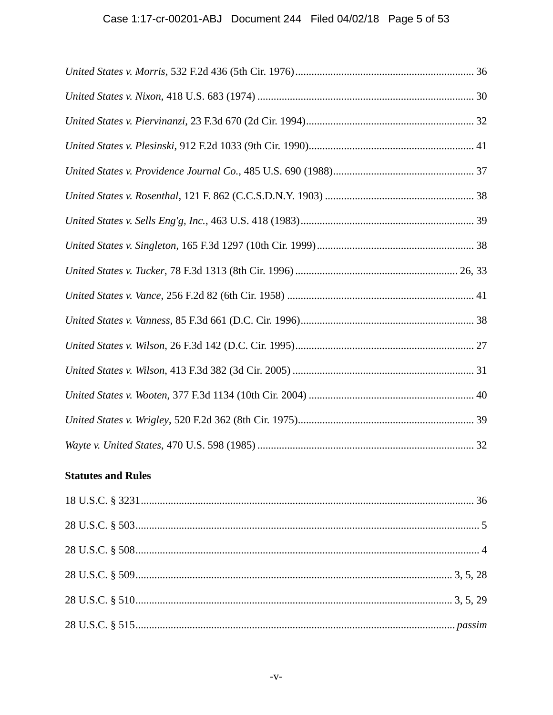# **Statutes and Rules**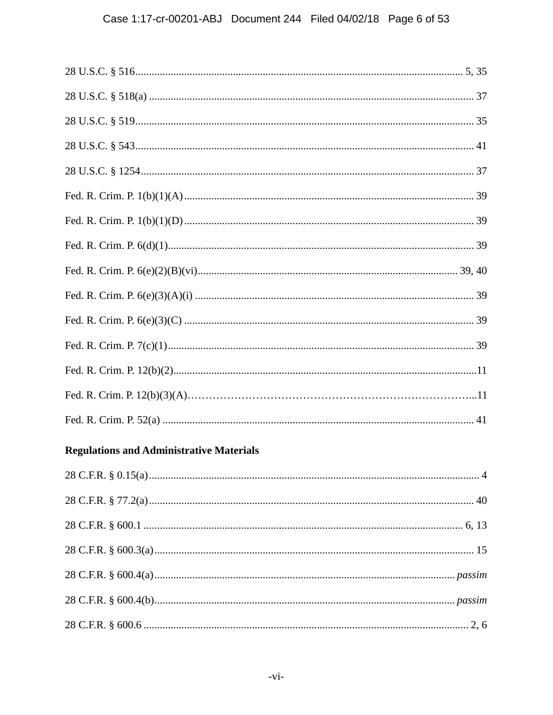| <b>Regulations and Administrative Materials</b> |  |
|-------------------------------------------------|--|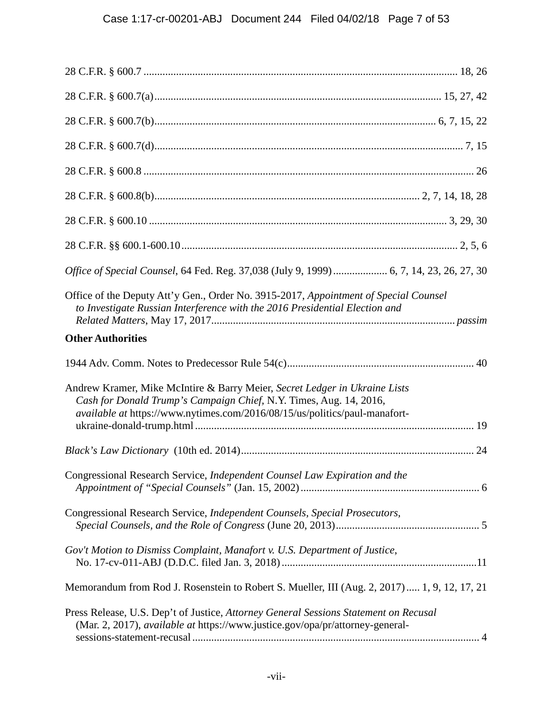| Office of Special Counsel, 64 Fed. Reg. 37,038 (July 9, 1999)  6, 7, 14, 23, 26, 27, 30                                                                                                                                        |
|--------------------------------------------------------------------------------------------------------------------------------------------------------------------------------------------------------------------------------|
| Office of the Deputy Att'y Gen., Order No. 3915-2017, Appointment of Special Counsel<br>to Investigate Russian Interference with the 2016 Presidential Election and                                                            |
| <b>Other Authorities</b>                                                                                                                                                                                                       |
|                                                                                                                                                                                                                                |
| Andrew Kramer, Mike McIntire & Barry Meier, Secret Ledger in Ukraine Lists<br>Cash for Donald Trump's Campaign Chief, N.Y. Times, Aug. 14, 2016,<br>available at https://www.nytimes.com/2016/08/15/us/politics/paul-manafort- |
|                                                                                                                                                                                                                                |
| Congressional Research Service, Independent Counsel Law Expiration and the                                                                                                                                                     |
| Congressional Research Service, Independent Counsels, Special Prosecutors,                                                                                                                                                     |
| Gov't Motion to Dismiss Complaint, Manafort v. U.S. Department of Justice,                                                                                                                                                     |
| Memorandum from Rod J. Rosenstein to Robert S. Mueller, III (Aug. 2, 2017) 1, 9, 12, 17, 21                                                                                                                                    |
| Press Release, U.S. Dep't of Justice, Attorney General Sessions Statement on Recusal<br>(Mar. 2, 2017), available at https://www.justice.gov/opa/pr/attorney-general-                                                          |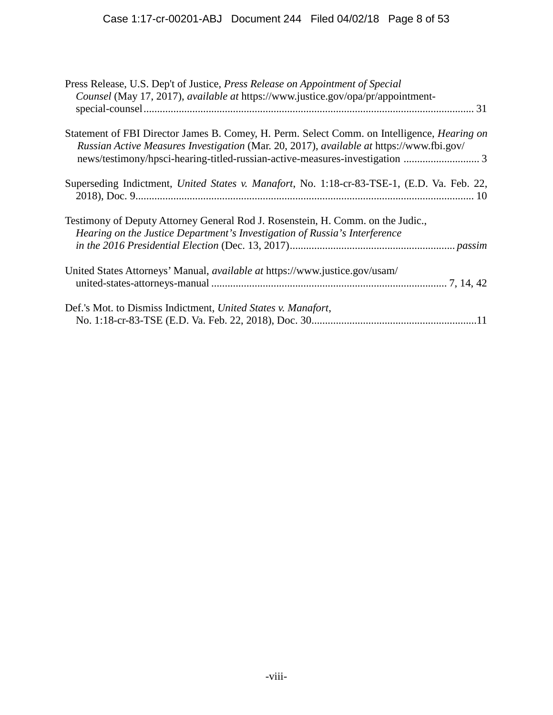| Press Release, U.S. Dep't of Justice, Press Release on Appointment of Special<br>Counsel (May 17, 2017), available at https://www.justice.gov/opa/pr/appointment-                              |  |
|------------------------------------------------------------------------------------------------------------------------------------------------------------------------------------------------|--|
|                                                                                                                                                                                                |  |
| Statement of FBI Director James B. Comey, H. Perm. Select Comm. on Intelligence, <i>Hearing on</i><br>Russian Active Measures Investigation (Mar. 20, 2017), available at https://www.fbi.gov/ |  |
| Superseding Indictment, United States v. Manafort, No. 1:18-cr-83-TSE-1, (E.D. Va. Feb. 22,                                                                                                    |  |
| Testimony of Deputy Attorney General Rod J. Rosenstein, H. Comm. on the Judic.,<br>Hearing on the Justice Department's Investigation of Russia's Interference                                  |  |
|                                                                                                                                                                                                |  |
| United States Attorneys' Manual, <i>available at https://www.justice.gov/usam/</i>                                                                                                             |  |
| Def.'s Mot. to Dismiss Indictment, United States v. Manafort,                                                                                                                                  |  |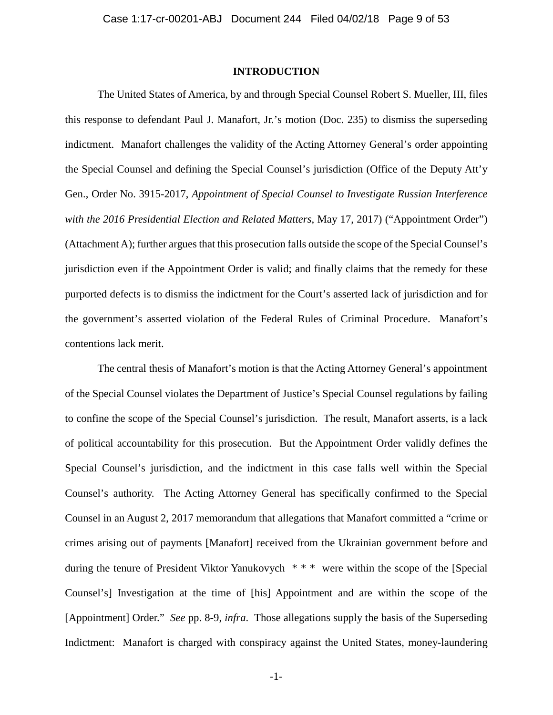### **INTRODUCTION**

The United States of America, by and through Special Counsel Robert S. Mueller, III, files this response to defendant Paul J. Manafort, Jr.'s motion (Doc. 235) to dismiss the superseding indictment. Manafort challenges the validity of the Acting Attorney General's order appointing the Special Counsel and defining the Special Counsel's jurisdiction (Office of the Deputy Att'y Gen., Order No. 3915-2017, *Appointment of Special Counsel to Investigate Russian Interference with the 2016 Presidential Election and Related Matters*, May 17, 2017) ("Appointment Order") (Attachment A); further argues that this prosecution falls outside the scope of the Special Counsel's jurisdiction even if the Appointment Order is valid; and finally claims that the remedy for these purported defects is to dismiss the indictment for the Court's asserted lack of jurisdiction and for the government's asserted violation of the Federal Rules of Criminal Procedure. Manafort's contentions lack merit.

The central thesis of Manafort's motion is that the Acting Attorney General's appointment of the Special Counsel violates the Department of Justice's Special Counsel regulations by failing to confine the scope of the Special Counsel's jurisdiction. The result, Manafort asserts, is a lack of political accountability for this prosecution. But the Appointment Order validly defines the Special Counsel's jurisdiction, and the indictment in this case falls well within the Special Counsel's authority. The Acting Attorney General has specifically confirmed to the Special Counsel in an August 2, 2017 memorandum that allegations that Manafort committed a "crime or crimes arising out of payments [Manafort] received from the Ukrainian government before and during the tenure of President Viktor Yanukovych \* \* \* were within the scope of the [Special Counsel's] Investigation at the time of [his] Appointment and are within the scope of the [Appointment] Order." *See* pp. 8-9, *infra*. Those allegations supply the basis of the Superseding Indictment: Manafort is charged with conspiracy against the United States, money-laundering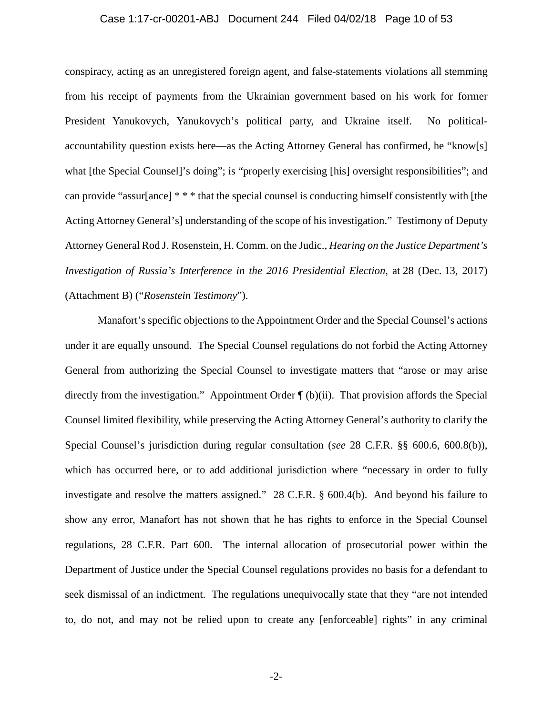#### Case 1:17-cr-00201-ABJ Document 244 Filed 04/02/18 Page 10 of 53

conspiracy, acting as an unregistered foreign agent, and false-statements violations all stemming from his receipt of payments from the Ukrainian government based on his work for former President Yanukovych, Yanukovych's political party, and Ukraine itself. No politicalaccountability question exists here—as the Acting Attorney General has confirmed, he "know[s] what [the Special Counsel]'s doing"; is "properly exercising [his] oversight responsibilities"; and can provide "assur[ance] \* \* \* that the special counsel is conducting himself consistently with [the Acting Attorney General's] understanding of the scope of his investigation." Testimony of Deputy Attorney General Rod J. Rosenstein, H. Comm. on the Judic., *Hearing on the Justice Department's Investigation of Russia's Interference in the 2016 Presidential Election*, at 28 (Dec. 13, 2017) (Attachment B) ("*Rosenstein Testimony*").

Manafort's specific objections to the Appointment Order and the Special Counsel's actions under it are equally unsound. The Special Counsel regulations do not forbid the Acting Attorney General from authorizing the Special Counsel to investigate matters that "arose or may arise directly from the investigation." Appointment Order ¶ (b)(ii). That provision affords the Special Counsel limited flexibility, while preserving the Acting Attorney General's authority to clarify the Special Counsel's jurisdiction during regular consultation (*see* 28 C.F.R. §§ 600.6, 600.8(b)), which has occurred here, or to add additional jurisdiction where "necessary in order to fully investigate and resolve the matters assigned." 28 C.F.R. § 600.4(b). And beyond his failure to show any error, Manafort has not shown that he has rights to enforce in the Special Counsel regulations, 28 C.F.R. Part 600. The internal allocation of prosecutorial power within the Department of Justice under the Special Counsel regulations provides no basis for a defendant to seek dismissal of an indictment. The regulations unequivocally state that they "are not intended to, do not, and may not be relied upon to create any [enforceable] rights" in any criminal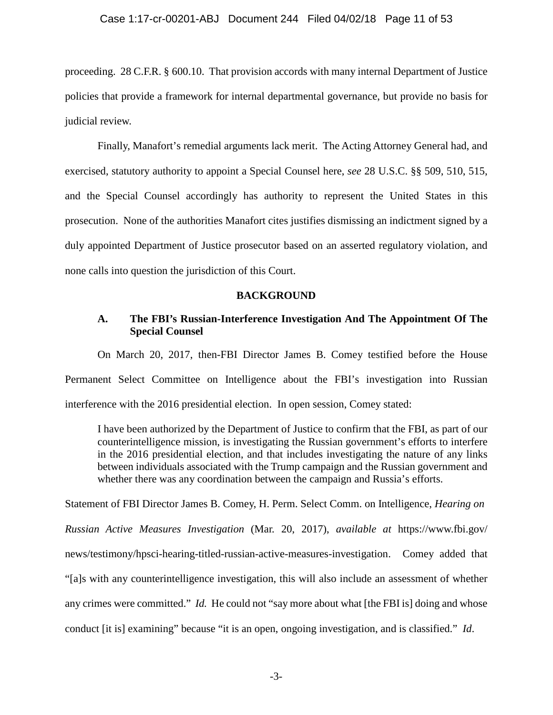proceeding. 28 C.F.R. § 600.10. That provision accords with many internal Department of Justice policies that provide a framework for internal departmental governance, but provide no basis for judicial review.

Finally, Manafort's remedial arguments lack merit. The Acting Attorney General had, and exercised, statutory authority to appoint a Special Counsel here, *see* 28 U.S.C. §§ 509, 510, 515, and the Special Counsel accordingly has authority to represent the United States in this prosecution. None of the authorities Manafort cites justifies dismissing an indictment signed by a duly appointed Department of Justice prosecutor based on an asserted regulatory violation, and none calls into question the jurisdiction of this Court.

#### **BACKGROUND**

## **A. The FBI's Russian-Interference Investigation And The Appointment Of The Special Counsel**

On March 20, 2017, then-FBI Director James B. Comey testified before the House Permanent Select Committee on Intelligence about the FBI's investigation into Russian interference with the 2016 presidential election. In open session, Comey stated:

I have been authorized by the Department of Justice to confirm that the FBI, as part of our counterintelligence mission, is investigating the Russian government's efforts to interfere in the 2016 presidential election, and that includes investigating the nature of any links between individuals associated with the Trump campaign and the Russian government and whether there was any coordination between the campaign and Russia's efforts.

Statement of FBI Director James B. Comey, H. Perm. Select Comm. on Intelligence, *Hearing on Russian Active Measures Investigation* (Mar. 20, 2017), *available at* https://www.fbi.gov/ news/testimony/hpsci-hearing-titled-russian-active-measures-investigation. Comey added that "[a]s with any counterintelligence investigation, this will also include an assessment of whether any crimes were committed." *Id.* He could not "say more about what [the FBI is] doing and whose conduct [it is] examining" because "it is an open, ongoing investigation, and is classified." *Id*.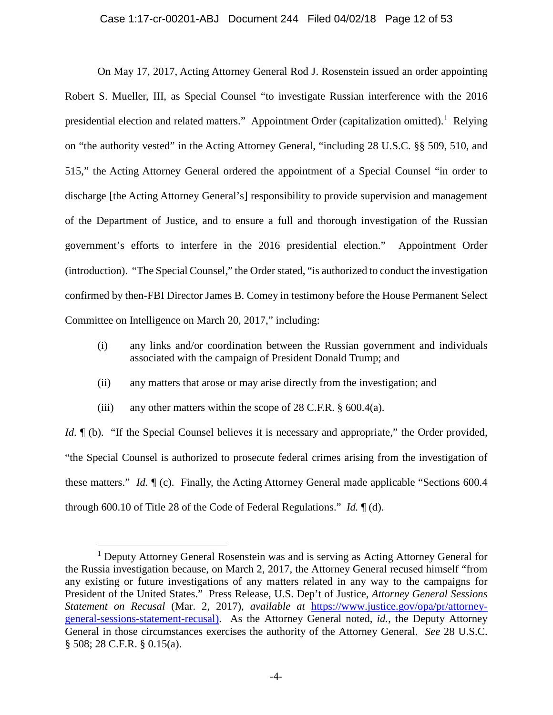#### Case 1:17-cr-00201-ABJ Document 244 Filed 04/02/18 Page 12 of 53

On May 17, 2017, Acting Attorney General Rod J. Rosenstein issued an order appointing Robert S. Mueller, III, as Special Counsel "to investigate Russian interference with the 2016 presidential election and related matters." Appointment Order (capitalization omitted).<sup>1</sup> Relying on "the authority vested" in the Acting Attorney General, "including 28 U.S.C. §§ 509, 510, and 515," the Acting Attorney General ordered the appointment of a Special Counsel "in order to discharge [the Acting Attorney General's] responsibility to provide supervision and management of the Department of Justice, and to ensure a full and thorough investigation of the Russian government's efforts to interfere in the 2016 presidential election." Appointment Order (introduction). "The Special Counsel," the Order stated, "is authorized to conduct the investigation confirmed by then-FBI Director James B. Comey in testimony before the House Permanent Select Committee on Intelligence on March 20, 2017," including:

- (i) any links and/or coordination between the Russian government and individuals associated with the campaign of President Donald Trump; and
- (ii) any matters that arose or may arise directly from the investigation; and
- (iii) any other matters within the scope of  $28$  C.F.R.  $\S$  600.4(a).

 $\overline{a}$ 

*Id.*  $\mathbb{I}$  (b). "If the Special Counsel believes it is necessary and appropriate," the Order provided, "the Special Counsel is authorized to prosecute federal crimes arising from the investigation of these matters." *Id.* ¶ (c). Finally, the Acting Attorney General made applicable "Sections 600.4 through 600.10 of Title 28 of the Code of Federal Regulations." *Id.* ¶ (d).

<sup>&</sup>lt;sup>1</sup> Deputy Attorney General Rosenstein was and is serving as Acting Attorney General for the Russia investigation because, on March 2, 2017, the Attorney General recused himself "from any existing or future investigations of any matters related in any way to the campaigns for President of the United States." Press Release, U.S. Dep't of Justice, *Attorney General Sessions Statement on Recusal* (Mar. 2, 2017), *available at* https://www.justice.gov/opa/pr/attorneygeneral-sessions-statement-recusal). As the Attorney General noted, *id.*, the Deputy Attorney General in those circumstances exercises the authority of the Attorney General. *See* 28 U.S.C. § 508; 28 C.F.R. § 0.15(a).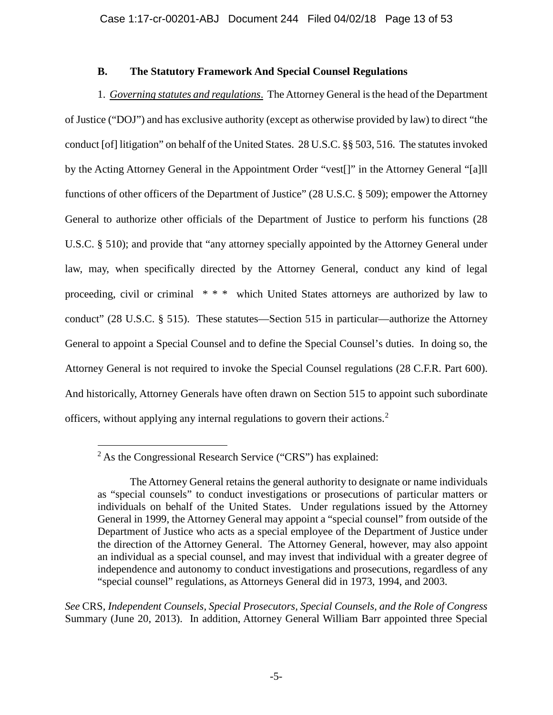## **B. The Statutory Framework And Special Counsel Regulations**

1. *Governing statutes and regulations*. The Attorney General is the head of the Department of Justice ("DOJ") and has exclusive authority (except as otherwise provided by law) to direct "the conduct [of] litigation" on behalf of the United States. 28 U.S.C. §§ 503, 516. The statutes invoked by the Acting Attorney General in the Appointment Order "vest[]" in the Attorney General "[a]ll functions of other officers of the Department of Justice" (28 U.S.C. § 509); empower the Attorney General to authorize other officials of the Department of Justice to perform his functions (28 U.S.C. § 510); and provide that "any attorney specially appointed by the Attorney General under law, may, when specifically directed by the Attorney General, conduct any kind of legal proceeding, civil or criminal \* \* \* which United States attorneys are authorized by law to conduct" (28 U.S.C. § 515). These statutes—Section 515 in particular—authorize the Attorney General to appoint a Special Counsel and to define the Special Counsel's duties. In doing so, the Attorney General is not required to invoke the Special Counsel regulations (28 C.F.R. Part 600). And historically, Attorney Generals have often drawn on Section 515 to appoint such subordinate officers, without applying any internal regulations to govern their actions.<sup>2</sup>

*See* CRS, *Independent Counsels, Special Prosecutors, Special Counsels, and the Role of Congress* Summary (June 20, 2013). In addition, Attorney General William Barr appointed three Special

 $\overline{a}$  $2$ As the Congressional Research Service ("CRS") has explained:

The Attorney General retains the general authority to designate or name individuals as "special counsels" to conduct investigations or prosecutions of particular matters or individuals on behalf of the United States. Under regulations issued by the Attorney General in 1999, the Attorney General may appoint a "special counsel" from outside of the Department of Justice who acts as a special employee of the Department of Justice under the direction of the Attorney General. The Attorney General, however, may also appoint an individual as a special counsel, and may invest that individual with a greater degree of independence and autonomy to conduct investigations and prosecutions, regardless of any "special counsel" regulations, as Attorneys General did in 1973, 1994, and 2003.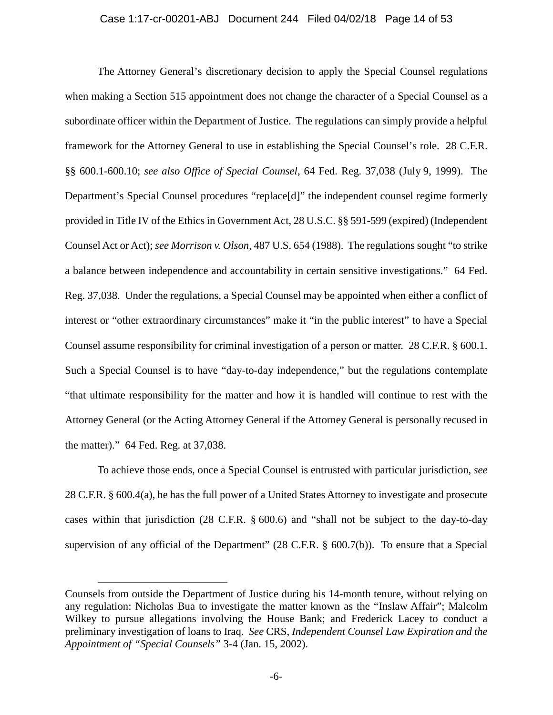The Attorney General's discretionary decision to apply the Special Counsel regulations when making a Section 515 appointment does not change the character of a Special Counsel as a subordinate officer within the Department of Justice. The regulations can simply provide a helpful framework for the Attorney General to use in establishing the Special Counsel's role. 28 C.F.R. §§ 600.1-600.10; *see also Office of Special Counsel*, 64 Fed. Reg. 37,038 (July 9, 1999). The Department's Special Counsel procedures "replace[d]" the independent counsel regime formerly provided in Title IV of the Ethics in Government Act, 28 U.S.C. §§ 591-599 (expired) (Independent Counsel Act or Act); *see Morrison v. Olson*, 487 U.S. 654 (1988). The regulations sought "to strike a balance between independence and accountability in certain sensitive investigations." 64 Fed. Reg. 37,038. Under the regulations, a Special Counsel may be appointed when either a conflict of interest or "other extraordinary circumstances" make it "in the public interest" to have a Special Counsel assume responsibility for criminal investigation of a person or matter. 28 C.F.R. § 600.1. Such a Special Counsel is to have "day-to-day independence," but the regulations contemplate "that ultimate responsibility for the matter and how it is handled will continue to rest with the Attorney General (or the Acting Attorney General if the Attorney General is personally recused in the matter)." 64 Fed. Reg. at 37,038.

To achieve those ends, once a Special Counsel is entrusted with particular jurisdiction, *see* 28 C.F.R. § 600.4(a), he has the full power of a United States Attorney to investigate and prosecute cases within that jurisdiction (28 C.F.R. § 600.6) and "shall not be subject to the day-to-day supervision of any official of the Department" (28 C.F.R. § 600.7(b)). To ensure that a Special

 $\overline{a}$ 

Counsels from outside the Department of Justice during his 14-month tenure, without relying on any regulation: Nicholas Bua to investigate the matter known as the "Inslaw Affair"; Malcolm Wilkey to pursue allegations involving the House Bank; and Frederick Lacey to conduct a preliminary investigation of loans to Iraq. *See* CRS, *Independent Counsel Law Expiration and the Appointment of "Special Counsels"* 3-4 (Jan. 15, 2002).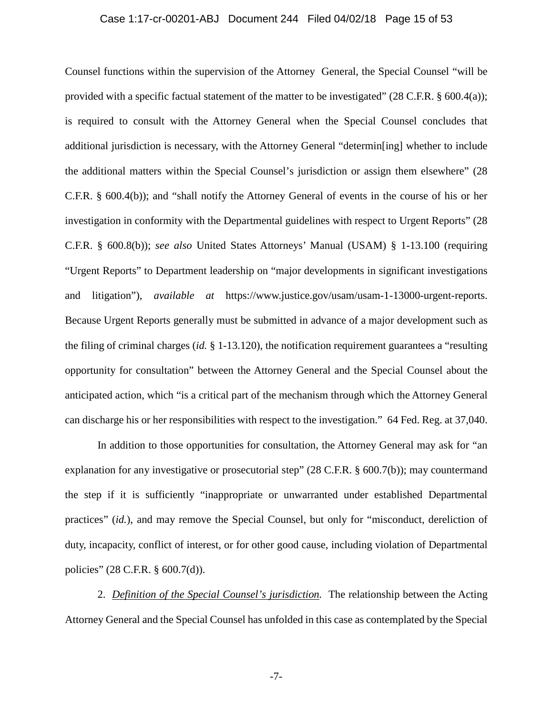#### Case 1:17-cr-00201-ABJ Document 244 Filed 04/02/18 Page 15 of 53

Counsel functions within the supervision of the Attorney General, the Special Counsel "will be provided with a specific factual statement of the matter to be investigated" (28 C.F.R. § 600.4(a)); is required to consult with the Attorney General when the Special Counsel concludes that additional jurisdiction is necessary, with the Attorney General "determin[ing] whether to include the additional matters within the Special Counsel's jurisdiction or assign them elsewhere" (28 C.F.R. § 600.4(b)); and "shall notify the Attorney General of events in the course of his or her investigation in conformity with the Departmental guidelines with respect to Urgent Reports" (28 C.F.R. § 600.8(b)); *see also* United States Attorneys' Manual (USAM) § 1-13.100 (requiring "Urgent Reports" to Department leadership on "major developments in significant investigations and litigation"), *available at* https://www.justice.gov/usam/usam-1-13000-urgent-reports. Because Urgent Reports generally must be submitted in advance of a major development such as the filing of criminal charges (*id.* § 1-13.120), the notification requirement guarantees a "resulting opportunity for consultation" between the Attorney General and the Special Counsel about the anticipated action, which "is a critical part of the mechanism through which the Attorney General can discharge his or her responsibilities with respect to the investigation." 64 Fed. Reg. at 37,040.

In addition to those opportunities for consultation, the Attorney General may ask for "an explanation for any investigative or prosecutorial step" (28 C.F.R. § 600.7(b)); may countermand the step if it is sufficiently "inappropriate or unwarranted under established Departmental practices" (*id.*), and may remove the Special Counsel, but only for "misconduct, dereliction of duty, incapacity, conflict of interest, or for other good cause, including violation of Departmental policies" (28 C.F.R. § 600.7(d)).

2. *Definition of the Special Counsel's jurisdiction.* The relationship between the Acting Attorney General and the Special Counsel has unfolded in this case as contemplated by the Special

-7-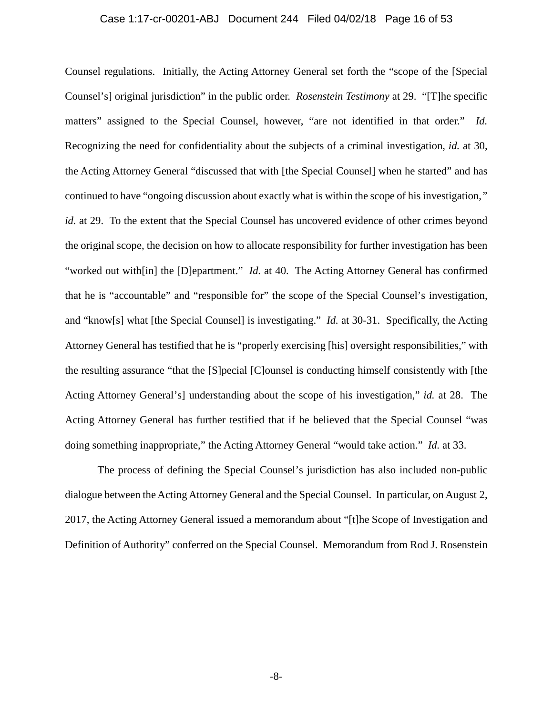#### Case 1:17-cr-00201-ABJ Document 244 Filed 04/02/18 Page 16 of 53

Counsel regulations. Initially, the Acting Attorney General set forth the "scope of the [Special Counsel's] original jurisdiction" in the public order. *Rosenstein Testimony* at 29. "[T]he specific matters" assigned to the Special Counsel, however, "are not identified in that order." *Id.*  Recognizing the need for confidentiality about the subjects of a criminal investigation, *id.* at 30, the Acting Attorney General "discussed that with [the Special Counsel] when he started" and has continued to have "ongoing discussion about exactly what is within the scope of his investigation,*" id.* at 29. To the extent that the Special Counsel has uncovered evidence of other crimes beyond the original scope, the decision on how to allocate responsibility for further investigation has been "worked out with[in] the [D]epartment." *Id.* at 40. The Acting Attorney General has confirmed that he is "accountable" and "responsible for" the scope of the Special Counsel's investigation, and "know[s] what [the Special Counsel] is investigating." *Id.* at 30-31. Specifically, the Acting Attorney General has testified that he is "properly exercising [his] oversight responsibilities," with the resulting assurance "that the [S]pecial [C]ounsel is conducting himself consistently with [the Acting Attorney General's] understanding about the scope of his investigation," *id.* at 28. The Acting Attorney General has further testified that if he believed that the Special Counsel "was doing something inappropriate," the Acting Attorney General "would take action." *Id.* at 33.

The process of defining the Special Counsel's jurisdiction has also included non-public dialogue between the Acting Attorney General and the Special Counsel. In particular, on August 2, 2017, the Acting Attorney General issued a memorandum about "[t]he Scope of Investigation and Definition of Authority" conferred on the Special Counsel. Memorandum from Rod J. Rosenstein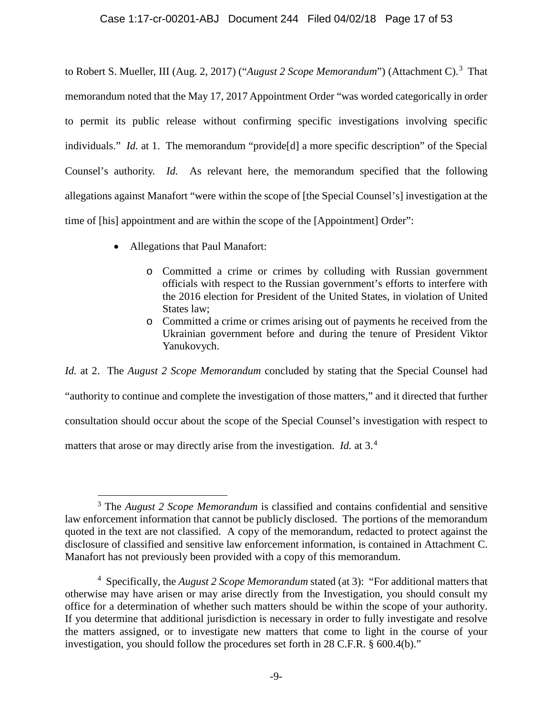to Robert S. Mueller, III (Aug. 2, 2017) ("August 2 Scope Memorandum") (Attachment C).<sup>3</sup> That memorandum noted that the May 17, 2017 Appointment Order "was worded categorically in order to permit its public release without confirming specific investigations involving specific individuals." *Id.* at 1. The memorandum "provide[d] a more specific description" of the Special Counsel's authority. *Id.* As relevant here, the memorandum specified that the following allegations against Manafort "were within the scope of [the Special Counsel's] investigation at the time of [his] appointment and are within the scope of the [Appointment] Order":

- Allegations that Paul Manafort:
	- o Committed a crime or crimes by colluding with Russian government officials with respect to the Russian government's efforts to interfere with the 2016 election for President of the United States, in violation of United States law;
	- o Committed a crime or crimes arising out of payments he received from the Ukrainian government before and during the tenure of President Viktor Yanukovych.

*Id.* at 2. The *August 2 Scope Memorandum* concluded by stating that the Special Counsel had "authority to continue and complete the investigation of those matters," and it directed that further consultation should occur about the scope of the Special Counsel's investigation with respect to matters that arose or may directly arise from the investigation. *Id.* at 3.<sup>4</sup>

 $\overline{a}$ <sup>3</sup> The *August 2 Scope Memorandum* is classified and contains confidential and sensitive law enforcement information that cannot be publicly disclosed. The portions of the memorandum quoted in the text are not classified. A copy of the memorandum, redacted to protect against the disclosure of classified and sensitive law enforcement information, is contained in Attachment C. Manafort has not previously been provided with a copy of this memorandum.

<sup>4</sup> Specifically, the *August 2 Scope Memorandum* stated (at 3): "For additional matters that otherwise may have arisen or may arise directly from the Investigation, you should consult my office for a determination of whether such matters should be within the scope of your authority. If you determine that additional jurisdiction is necessary in order to fully investigate and resolve the matters assigned, or to investigate new matters that come to light in the course of your investigation, you should follow the procedures set forth in 28 C.F.R. § 600.4(b)."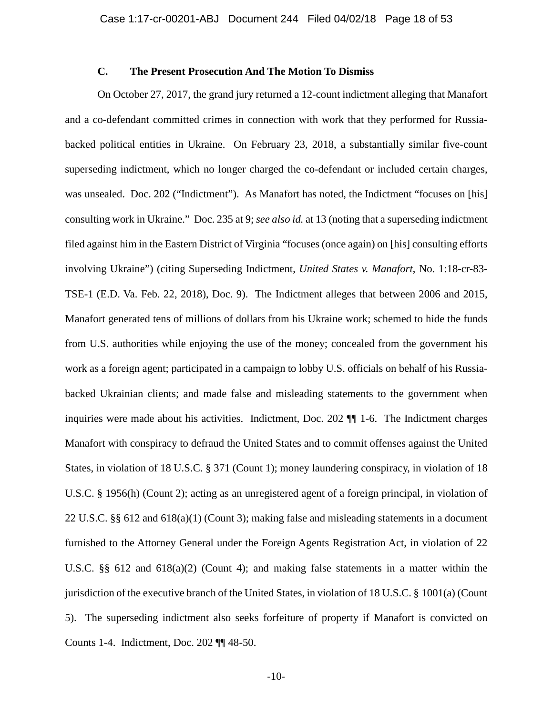## **C. The Present Prosecution And The Motion To Dismiss**

On October 27, 2017, the grand jury returned a 12-count indictment alleging that Manafort and a co-defendant committed crimes in connection with work that they performed for Russiabacked political entities in Ukraine. On February 23, 2018, a substantially similar five-count superseding indictment, which no longer charged the co-defendant or included certain charges, was unsealed. Doc. 202 ("Indictment"). As Manafort has noted, the Indictment "focuses on [his] consulting work in Ukraine." Doc. 235 at 9; *see also id.* at 13 (noting that a superseding indictment filed against him in the Eastern District of Virginia "focuses (once again) on [his] consulting efforts involving Ukraine") (citing Superseding Indictment, *United States v. Manafort*, No. 1:18-cr-83- TSE-1 (E.D. Va. Feb. 22, 2018), Doc. 9). The Indictment alleges that between 2006 and 2015, Manafort generated tens of millions of dollars from his Ukraine work; schemed to hide the funds from U.S. authorities while enjoying the use of the money; concealed from the government his work as a foreign agent; participated in a campaign to lobby U.S. officials on behalf of his Russiabacked Ukrainian clients; and made false and misleading statements to the government when inquiries were made about his activities. Indictment, Doc. 202 ¶¶ 1-6. The Indictment charges Manafort with conspiracy to defraud the United States and to commit offenses against the United States, in violation of 18 U.S.C. § 371 (Count 1); money laundering conspiracy, in violation of 18 U.S.C. § 1956(h) (Count 2); acting as an unregistered agent of a foreign principal, in violation of 22 U.S.C. §§ 612 and 618(a)(1) (Count 3); making false and misleading statements in a document furnished to the Attorney General under the Foreign Agents Registration Act, in violation of 22 U.S.C. §§ 612 and 618(a)(2) (Count 4); and making false statements in a matter within the jurisdiction of the executive branch of the United States, in violation of 18 U.S.C. § 1001(a) (Count 5). The superseding indictment also seeks forfeiture of property if Manafort is convicted on Counts 1-4. Indictment, Doc. 202 ¶¶ 48-50.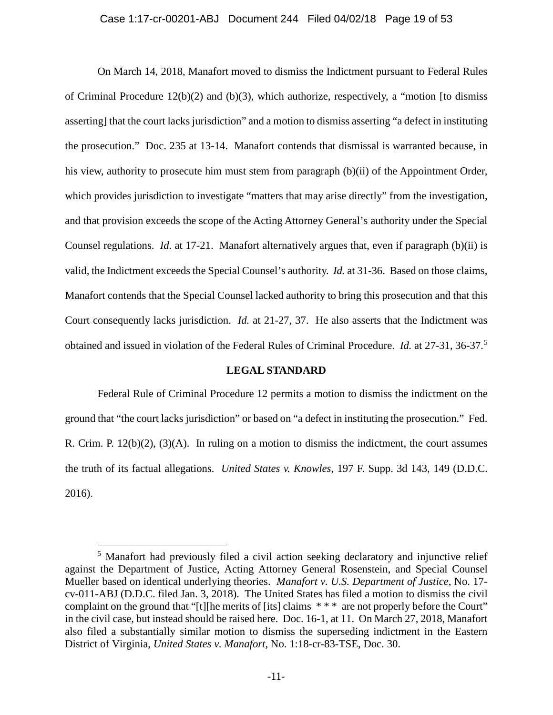#### Case 1:17-cr-00201-ABJ Document 244 Filed 04/02/18 Page 19 of 53

On March 14, 2018, Manafort moved to dismiss the Indictment pursuant to Federal Rules of Criminal Procedure 12(b)(2) and (b)(3), which authorize, respectively, a "motion [to dismiss asserting] that the court lacks jurisdiction" and a motion to dismiss asserting "a defect in instituting the prosecution." Doc. 235 at 13-14. Manafort contends that dismissal is warranted because, in his view, authority to prosecute him must stem from paragraph (b)(ii) of the Appointment Order, which provides jurisdiction to investigate "matters that may arise directly" from the investigation, and that provision exceeds the scope of the Acting Attorney General's authority under the Special Counsel regulations. *Id.* at 17-21. Manafort alternatively argues that, even if paragraph (b)(ii) is valid, the Indictment exceeds the Special Counsel's authority. *Id.* at 31-36. Based on those claims, Manafort contends that the Special Counsel lacked authority to bring this prosecution and that this Court consequently lacks jurisdiction. *Id.* at 21-27, 37. He also asserts that the Indictment was obtained and issued in violation of the Federal Rules of Criminal Procedure. *Id.* at 27-31, 36-37.<sup>5</sup>

#### **LEGAL STANDARD**

Federal Rule of Criminal Procedure 12 permits a motion to dismiss the indictment on the ground that "the court lacks jurisdiction" or based on "a defect in instituting the prosecution." Fed. R. Crim. P.  $12(b)(2)$ ,  $(3)(A)$ . In ruling on a motion to dismiss the indictment, the court assumes the truth of its factual allegations. *United States v. Knowles*, 197 F. Supp. 3d 143, 149 (D.D.C. 2016).

 $\overline{a}$ 

<sup>&</sup>lt;sup>5</sup> Manafort had previously filed a civil action seeking declaratory and injunctive relief against the Department of Justice, Acting Attorney General Rosenstein, and Special Counsel Mueller based on identical underlying theories. *Manafort v. U.S. Department of Justice*, No. 17 cv-011-ABJ (D.D.C. filed Jan. 3, 2018). The United States has filed a motion to dismiss the civil complaint on the ground that "[t][he merits of [its] claims \* \* \* are not properly before the Court" in the civil case, but instead should be raised here. Doc. 16-1, at 11. On March 27, 2018, Manafort also filed a substantially similar motion to dismiss the superseding indictment in the Eastern District of Virginia, *United States v. Manafort*, No. 1:18-cr-83*-*TSE, Doc. 30.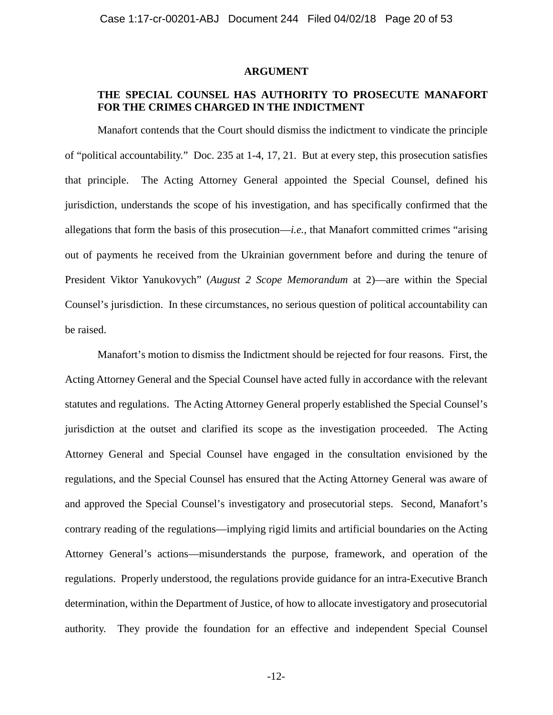#### **ARGUMENT**

## **THE SPECIAL COUNSEL HAS AUTHORITY TO PROSECUTE MANAFORT FOR THE CRIMES CHARGED IN THE INDICTMENT**

Manafort contends that the Court should dismiss the indictment to vindicate the principle of "political accountability." Doc. 235 at 1-4, 17, 21. But at every step, this prosecution satisfies that principle. The Acting Attorney General appointed the Special Counsel, defined his jurisdiction, understands the scope of his investigation, and has specifically confirmed that the allegations that form the basis of this prosecution—*i.e.*, that Manafort committed crimes "arising out of payments he received from the Ukrainian government before and during the tenure of President Viktor Yanukovych" (*August 2 Scope Memorandum* at 2)—are within the Special Counsel's jurisdiction. In these circumstances, no serious question of political accountability can be raised.

Manafort's motion to dismiss the Indictment should be rejected for four reasons. First, the Acting Attorney General and the Special Counsel have acted fully in accordance with the relevant statutes and regulations. The Acting Attorney General properly established the Special Counsel's jurisdiction at the outset and clarified its scope as the investigation proceeded. The Acting Attorney General and Special Counsel have engaged in the consultation envisioned by the regulations, and the Special Counsel has ensured that the Acting Attorney General was aware of and approved the Special Counsel's investigatory and prosecutorial steps. Second, Manafort's contrary reading of the regulations—implying rigid limits and artificial boundaries on the Acting Attorney General's actions—misunderstands the purpose, framework, and operation of the regulations. Properly understood, the regulations provide guidance for an intra-Executive Branch determination, within the Department of Justice, of how to allocate investigatory and prosecutorial authority. They provide the foundation for an effective and independent Special Counsel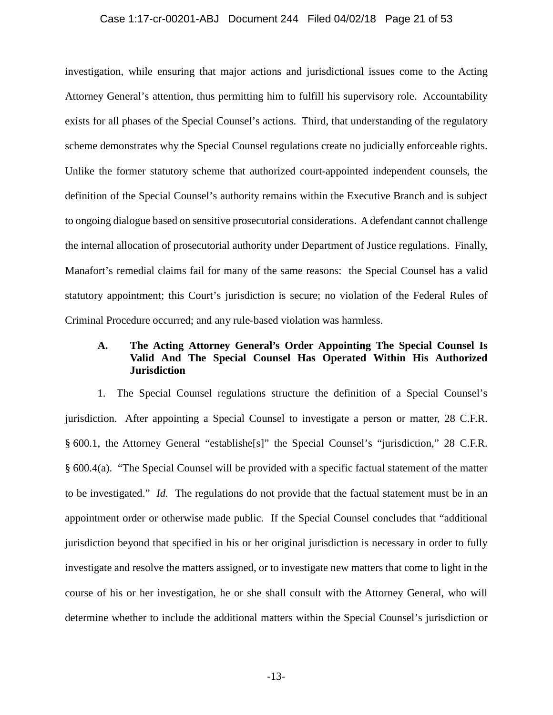#### Case 1:17-cr-00201-ABJ Document 244 Filed 04/02/18 Page 21 of 53

investigation, while ensuring that major actions and jurisdictional issues come to the Acting Attorney General's attention, thus permitting him to fulfill his supervisory role. Accountability exists for all phases of the Special Counsel's actions. Third, that understanding of the regulatory scheme demonstrates why the Special Counsel regulations create no judicially enforceable rights. Unlike the former statutory scheme that authorized court-appointed independent counsels, the definition of the Special Counsel's authority remains within the Executive Branch and is subject to ongoing dialogue based on sensitive prosecutorial considerations. A defendant cannot challenge the internal allocation of prosecutorial authority under Department of Justice regulations. Finally, Manafort's remedial claims fail for many of the same reasons: the Special Counsel has a valid statutory appointment; this Court's jurisdiction is secure; no violation of the Federal Rules of Criminal Procedure occurred; and any rule-based violation was harmless.

## **A. The Acting Attorney General's Order Appointing The Special Counsel Is Valid And The Special Counsel Has Operated Within His Authorized Jurisdiction**

1. The Special Counsel regulations structure the definition of a Special Counsel's jurisdiction. After appointing a Special Counsel to investigate a person or matter, 28 C.F.R. § 600.1, the Attorney General "establishe[s]" the Special Counsel's "jurisdiction," 28 C.F.R. § 600.4(a). "The Special Counsel will be provided with a specific factual statement of the matter to be investigated." *Id.* The regulations do not provide that the factual statement must be in an appointment order or otherwise made public. If the Special Counsel concludes that "additional jurisdiction beyond that specified in his or her original jurisdiction is necessary in order to fully investigate and resolve the matters assigned, or to investigate new matters that come to light in the course of his or her investigation, he or she shall consult with the Attorney General, who will determine whether to include the additional matters within the Special Counsel's jurisdiction or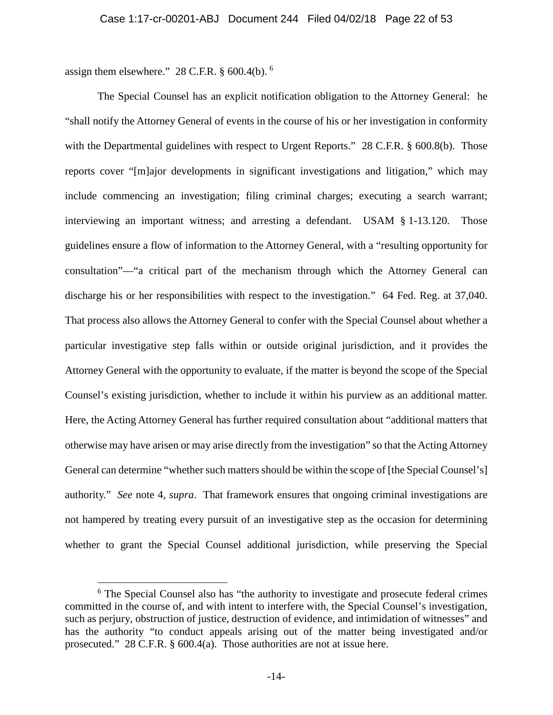assign them elsewhere." 28 C.F.R. § 600.4(b). <sup>6</sup>

 $\overline{a}$ 

The Special Counsel has an explicit notification obligation to the Attorney General: he "shall notify the Attorney General of events in the course of his or her investigation in conformity with the Departmental guidelines with respect to Urgent Reports." 28 C.F.R. § 600.8(b). Those reports cover "[m]ajor developments in significant investigations and litigation," which may include commencing an investigation; filing criminal charges; executing a search warrant; interviewing an important witness; and arresting a defendant. USAM § 1-13.120. Those guidelines ensure a flow of information to the Attorney General, with a "resulting opportunity for consultation"—"a critical part of the mechanism through which the Attorney General can discharge his or her responsibilities with respect to the investigation." 64 Fed. Reg. at 37,040. That process also allows the Attorney General to confer with the Special Counsel about whether a particular investigative step falls within or outside original jurisdiction, and it provides the Attorney General with the opportunity to evaluate, if the matter is beyond the scope of the Special Counsel's existing jurisdiction, whether to include it within his purview as an additional matter. Here, the Acting Attorney General has further required consultation about "additional matters that otherwise may have arisen or may arise directly from the investigation" so that the Acting Attorney General can determine "whether such matters should be within the scope of [the Special Counsel's] authority." *See* note 4, *supra*.That framework ensures that ongoing criminal investigations are not hampered by treating every pursuit of an investigative step as the occasion for determining whether to grant the Special Counsel additional jurisdiction, while preserving the Special

<sup>&</sup>lt;sup>6</sup> The Special Counsel also has "the authority to investigate and prosecute federal crimes committed in the course of, and with intent to interfere with, the Special Counsel's investigation, such as perjury, obstruction of justice, destruction of evidence, and intimidation of witnesses" and has the authority "to conduct appeals arising out of the matter being investigated and/or prosecuted." 28 C.F.R. § 600.4(a). Those authorities are not at issue here.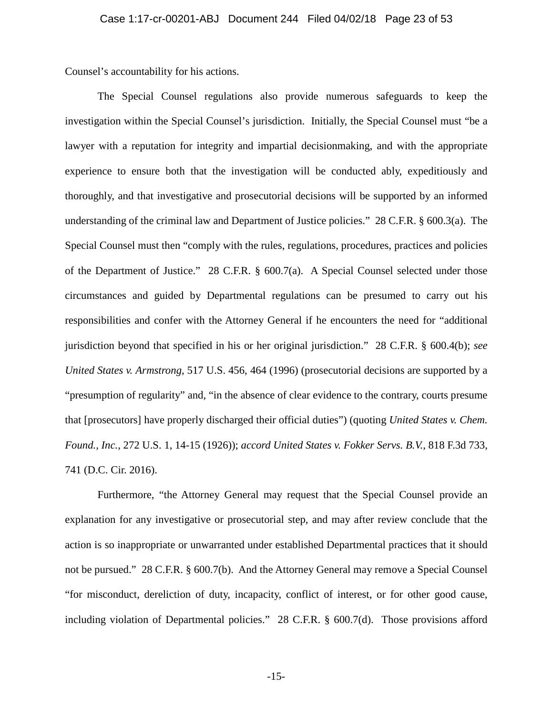Counsel's accountability for his actions.

The Special Counsel regulations also provide numerous safeguards to keep the investigation within the Special Counsel's jurisdiction. Initially, the Special Counsel must "be a lawyer with a reputation for integrity and impartial decisionmaking, and with the appropriate experience to ensure both that the investigation will be conducted ably, expeditiously and thoroughly, and that investigative and prosecutorial decisions will be supported by an informed understanding of the criminal law and Department of Justice policies." 28 C.F.R. § 600.3(a). The Special Counsel must then "comply with the rules, regulations, procedures, practices and policies of the Department of Justice." 28 C.F.R. § 600.7(a). A Special Counsel selected under those circumstances and guided by Departmental regulations can be presumed to carry out his responsibilities and confer with the Attorney General if he encounters the need for "additional jurisdiction beyond that specified in his or her original jurisdiction." 28 C.F.R. § 600.4(b); *see United States v. Armstrong*, 517 U.S. 456, 464 (1996) (prosecutorial decisions are supported by a "presumption of regularity" and, "in the absence of clear evidence to the contrary, courts presume that [prosecutors] have properly discharged their official duties") (quoting *United States v. Chem. Found., Inc.*, 272 U.S. 1, 14-15 (1926)); *accord United States v. Fokker Servs. B.V.*, 818 F.3d 733, 741 (D.C. Cir. 2016).

Furthermore, "the Attorney General may request that the Special Counsel provide an explanation for any investigative or prosecutorial step, and may after review conclude that the action is so inappropriate or unwarranted under established Departmental practices that it should not be pursued." 28 C.F.R. § 600.7(b). And the Attorney General may remove a Special Counsel "for misconduct, dereliction of duty, incapacity, conflict of interest, or for other good cause, including violation of Departmental policies." 28 C.F.R. § 600.7(d). Those provisions afford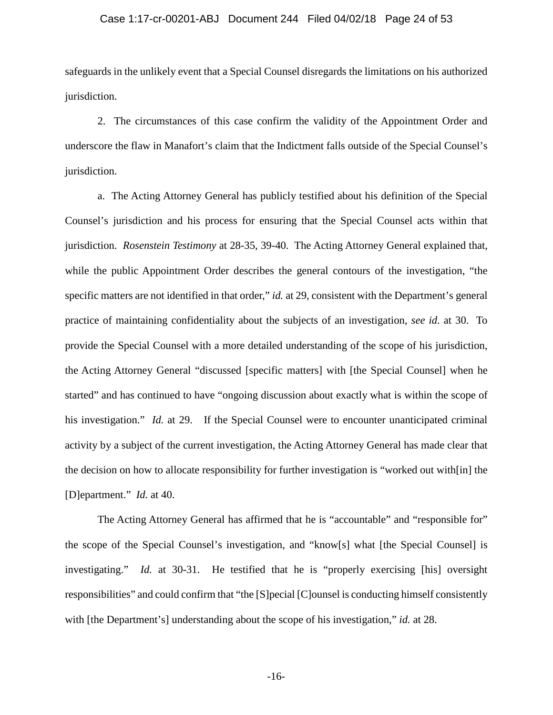#### Case 1:17-cr-00201-ABJ Document 244 Filed 04/02/18 Page 24 of 53

safeguards in the unlikely event that a Special Counsel disregards the limitations on his authorized jurisdiction.

2. The circumstances of this case confirm the validity of the Appointment Order and underscore the flaw in Manafort's claim that the Indictment falls outside of the Special Counsel's jurisdiction.

a. The Acting Attorney General has publicly testified about his definition of the Special Counsel's jurisdiction and his process for ensuring that the Special Counsel acts within that jurisdiction. *Rosenstein Testimony* at 28-35, 39-40. The Acting Attorney General explained that, while the public Appointment Order describes the general contours of the investigation, "the specific matters are not identified in that order," *id.* at 29, consistent with the Department's general practice of maintaining confidentiality about the subjects of an investigation, *see id.* at 30. To provide the Special Counsel with a more detailed understanding of the scope of his jurisdiction, the Acting Attorney General "discussed [specific matters] with [the Special Counsel] when he started" and has continued to have "ongoing discussion about exactly what is within the scope of his investigation." *Id.* at 29. If the Special Counsel were to encounter unanticipated criminal activity by a subject of the current investigation, the Acting Attorney General has made clear that the decision on how to allocate responsibility for further investigation is "worked out with[in] the [D]epartment." *Id.* at 40.

The Acting Attorney General has affirmed that he is "accountable" and "responsible for" the scope of the Special Counsel's investigation, and "know[s] what [the Special Counsel] is investigating." *Id.* at 30-31. He testified that he is "properly exercising [his] oversight responsibilities" and could confirm that "the [S]pecial [C]ounsel is conducting himself consistently with [the Department's] understanding about the scope of his investigation," *id.* at 28.

-16-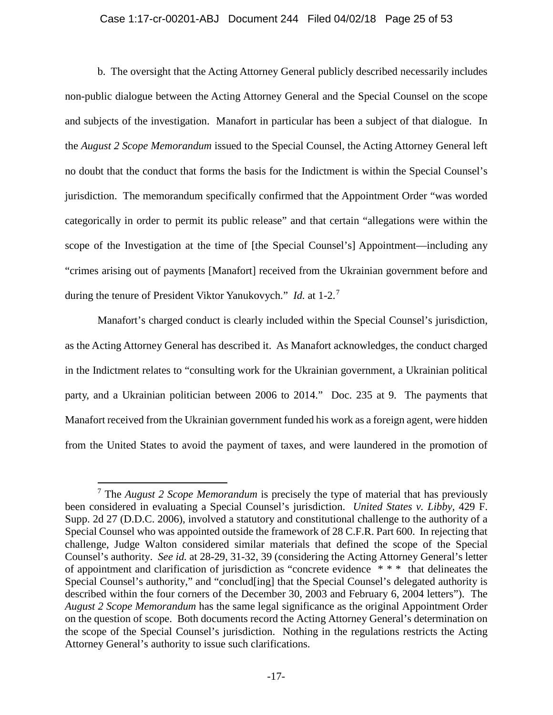#### Case 1:17-cr-00201-ABJ Document 244 Filed 04/02/18 Page 25 of 53

b. The oversight that the Acting Attorney General publicly described necessarily includes non-public dialogue between the Acting Attorney General and the Special Counsel on the scope and subjects of the investigation. Manafort in particular has been a subject of that dialogue. In the *August 2 Scope Memorandum* issued to the Special Counsel, the Acting Attorney General left no doubt that the conduct that forms the basis for the Indictment is within the Special Counsel's jurisdiction. The memorandum specifically confirmed that the Appointment Order "was worded categorically in order to permit its public release" and that certain "allegations were within the scope of the Investigation at the time of [the Special Counsel's] Appointment—including any "crimes arising out of payments [Manafort] received from the Ukrainian government before and during the tenure of President Viktor Yanukovych." *Id.* at 1-2.<sup>7</sup>

Manafort's charged conduct is clearly included within the Special Counsel's jurisdiction, as the Acting Attorney General has described it. As Manafort acknowledges, the conduct charged in the Indictment relates to "consulting work for the Ukrainian government, a Ukrainian political party, and a Ukrainian politician between 2006 to 2014." Doc. 235 at 9. The payments that Manafort received from the Ukrainian government funded his work as a foreign agent, were hidden from the United States to avoid the payment of taxes, and were laundered in the promotion of

 $\overline{a}$ 

<sup>7</sup> The *August 2 Scope Memorandum* is precisely the type of material that has previously been considered in evaluating a Special Counsel's jurisdiction. *United States v. Libby*, 429 F. Supp. 2d 27 (D.D.C. 2006), involved a statutory and constitutional challenge to the authority of a Special Counsel who was appointed outside the framework of 28 C.F.R. Part 600. In rejecting that challenge, Judge Walton considered similar materials that defined the scope of the Special Counsel's authority. *See id.* at 28-29, 31-32, 39 (considering the Acting Attorney General's letter of appointment and clarification of jurisdiction as "concrete evidence \* \* \* that delineates the Special Counsel's authority," and "conclud[ing] that the Special Counsel's delegated authority is described within the four corners of the December 30, 2003 and February 6, 2004 letters"). The *August 2 Scope Memorandum* has the same legal significance as the original Appointment Order on the question of scope. Both documents record the Acting Attorney General's determination on the scope of the Special Counsel's jurisdiction. Nothing in the regulations restricts the Acting Attorney General's authority to issue such clarifications.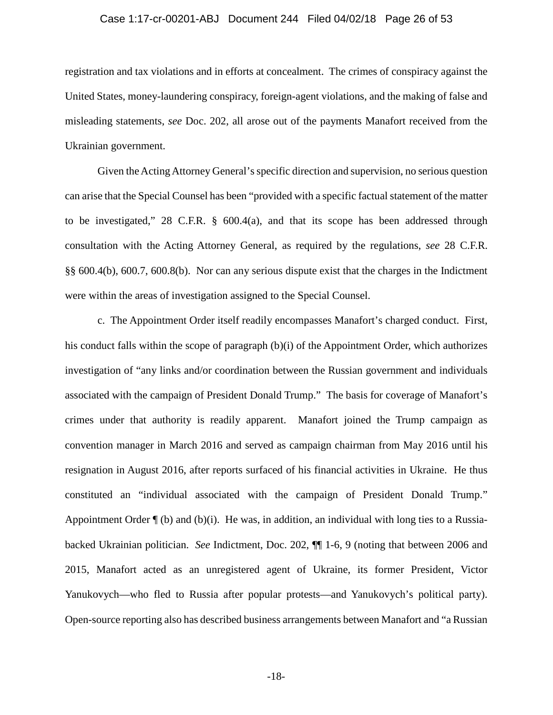#### Case 1:17-cr-00201-ABJ Document 244 Filed 04/02/18 Page 26 of 53

registration and tax violations and in efforts at concealment. The crimes of conspiracy against the United States, money-laundering conspiracy, foreign-agent violations, and the making of false and misleading statements, *see* Doc. 202, all arose out of the payments Manafort received from the Ukrainian government.

Given the Acting Attorney General's specific direction and supervision, no serious question can arise that the Special Counsel has been "provided with a specific factual statement of the matter to be investigated," 28 C.F.R. § 600.4(a), and that its scope has been addressed through consultation with the Acting Attorney General, as required by the regulations, *see* 28 C.F.R. §§ 600.4(b), 600.7, 600.8(b). Nor can any serious dispute exist that the charges in the Indictment were within the areas of investigation assigned to the Special Counsel.

c. The Appointment Order itself readily encompasses Manafort's charged conduct. First, his conduct falls within the scope of paragraph (b)(i) of the Appointment Order, which authorizes investigation of "any links and/or coordination between the Russian government and individuals associated with the campaign of President Donald Trump." The basis for coverage of Manafort's crimes under that authority is readily apparent. Manafort joined the Trump campaign as convention manager in March 2016 and served as campaign chairman from May 2016 until his resignation in August 2016, after reports surfaced of his financial activities in Ukraine. He thus constituted an "individual associated with the campaign of President Donald Trump." Appointment Order  $\P$  (b) and (b)(i). He was, in addition, an individual with long ties to a Russiabacked Ukrainian politician. *See* Indictment, Doc. 202, ¶¶ 1-6, 9 (noting that between 2006 and 2015, Manafort acted as an unregistered agent of Ukraine, its former President, Victor Yanukovych—who fled to Russia after popular protests—and Yanukovych's political party). Open-source reporting also has described business arrangements between Manafort and "a Russian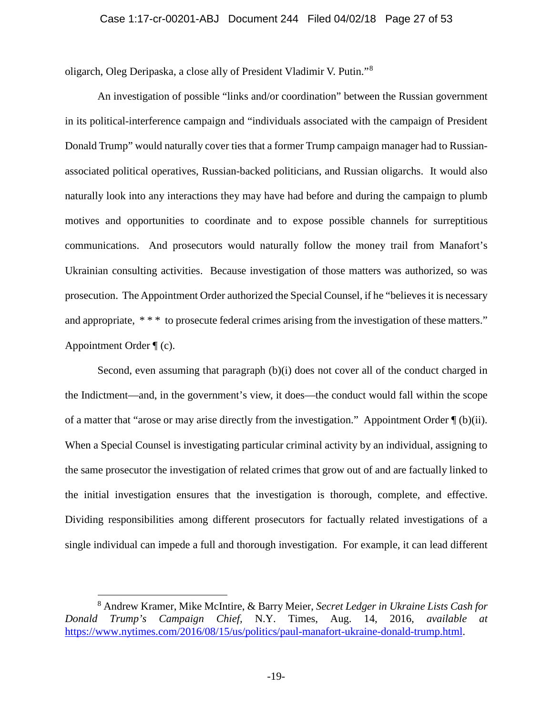oligarch, Oleg Deripaska, a close ally of President Vladimir V. Putin."<sup>8</sup>

An investigation of possible "links and/or coordination" between the Russian government in its political-interference campaign and "individuals associated with the campaign of President Donald Trump" would naturally cover ties that a former Trump campaign manager had to Russianassociated political operatives, Russian-backed politicians, and Russian oligarchs. It would also naturally look into any interactions they may have had before and during the campaign to plumb motives and opportunities to coordinate and to expose possible channels for surreptitious communications. And prosecutors would naturally follow the money trail from Manafort's Ukrainian consulting activities. Because investigation of those matters was authorized, so was prosecution. The Appointment Order authorized the Special Counsel, if he "believes it is necessary and appropriate, \*\*\* to prosecute federal crimes arising from the investigation of these matters." Appointment Order ¶ (c).

Second, even assuming that paragraph (b)(i) does not cover all of the conduct charged in the Indictment—and, in the government's view, it does—the conduct would fall within the scope of a matter that "arose or may arise directly from the investigation." Appointment Order ¶ (b)(ii). When a Special Counsel is investigating particular criminal activity by an individual, assigning to the same prosecutor the investigation of related crimes that grow out of and are factually linked to the initial investigation ensures that the investigation is thorough, complete, and effective. Dividing responsibilities among different prosecutors for factually related investigations of a single individual can impede a full and thorough investigation. For example, it can lead different

 $\overline{a}$ 

<sup>8</sup> Andrew Kramer, Mike McIntire, & Barry Meier, *Secret Ledger in Ukraine Lists Cash for Donald Trump's Campaign Chief,* N.Y. Times, Aug. 14, 2016, *available at* https://www.nytimes.com/2016/08/15/us/politics/paul-manafort-ukraine-donald-trump.html.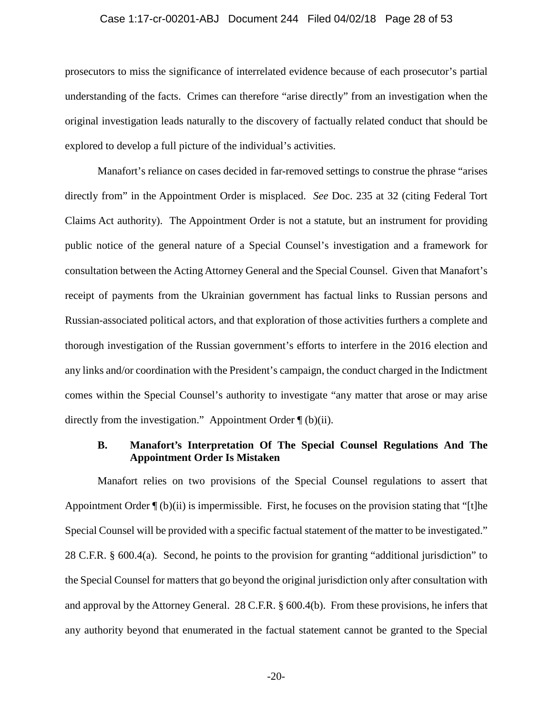#### Case 1:17-cr-00201-ABJ Document 244 Filed 04/02/18 Page 28 of 53

prosecutors to miss the significance of interrelated evidence because of each prosecutor's partial understanding of the facts. Crimes can therefore "arise directly" from an investigation when the original investigation leads naturally to the discovery of factually related conduct that should be explored to develop a full picture of the individual's activities.

Manafort's reliance on cases decided in far-removed settings to construe the phrase "arises directly from" in the Appointment Order is misplaced. *See* Doc. 235 at 32 (citing Federal Tort Claims Act authority). The Appointment Order is not a statute, but an instrument for providing public notice of the general nature of a Special Counsel's investigation and a framework for consultation between the Acting Attorney General and the Special Counsel. Given that Manafort's receipt of payments from the Ukrainian government has factual links to Russian persons and Russian-associated political actors, and that exploration of those activities furthers a complete and thorough investigation of the Russian government's efforts to interfere in the 2016 election and any links and/or coordination with the President's campaign, the conduct charged in the Indictment comes within the Special Counsel's authority to investigate "any matter that arose or may arise directly from the investigation." Appointment Order ¶ (b)(ii).

### **B. Manafort's Interpretation Of The Special Counsel Regulations And The Appointment Order Is Mistaken**

Manafort relies on two provisions of the Special Counsel regulations to assert that Appointment Order ¶ (b)(ii) is impermissible. First, he focuses on the provision stating that "[t]he Special Counsel will be provided with a specific factual statement of the matter to be investigated." 28 C.F.R. § 600.4(a). Second, he points to the provision for granting "additional jurisdiction" to the Special Counsel for matters that go beyond the original jurisdiction only after consultation with and approval by the Attorney General. 28 C.F.R. § 600.4(b). From these provisions, he infers that any authority beyond that enumerated in the factual statement cannot be granted to the Special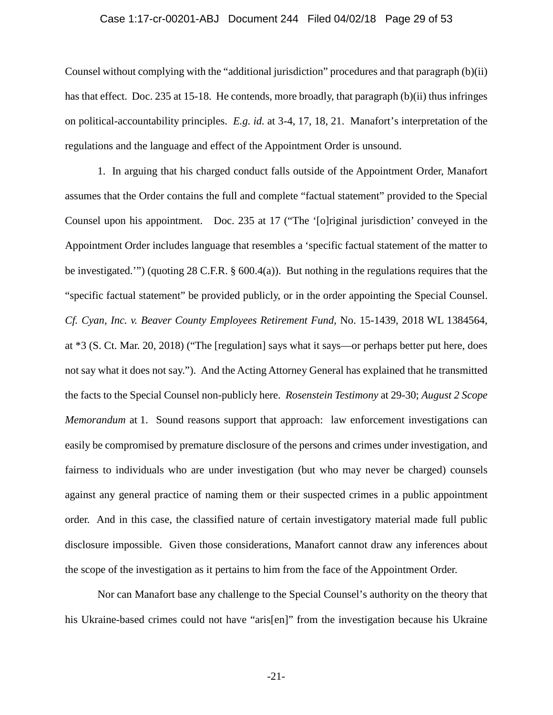#### Case 1:17-cr-00201-ABJ Document 244 Filed 04/02/18 Page 29 of 53

Counsel without complying with the "additional jurisdiction" procedures and that paragraph (b)(ii) has that effect. Doc. 235 at 15-18. He contends, more broadly, that paragraph (b)(ii) thus infringes on political-accountability principles. *E.g. id.* at 3-4, 17, 18, 21. Manafort's interpretation of the regulations and the language and effect of the Appointment Order is unsound.

1. In arguing that his charged conduct falls outside of the Appointment Order, Manafort assumes that the Order contains the full and complete "factual statement" provided to the Special Counsel upon his appointment. Doc. 235 at 17 ("The '[o]riginal jurisdiction' conveyed in the Appointment Order includes language that resembles a 'specific factual statement of the matter to be investigated.'") (quoting 28 C.F.R. § 600.4(a)). But nothing in the regulations requires that the "specific factual statement" be provided publicly, or in the order appointing the Special Counsel. *Cf. Cyan, Inc. v. Beaver County Employees Retirement Fund,* No. 15-1439, 2018 WL 1384564, at \*3 (S. Ct. Mar. 20, 2018) ("The [regulation] says what it says—or perhaps better put here, does not say what it does not say.").And the Acting Attorney General has explained that he transmitted the facts to the Special Counsel non-publicly here. *Rosenstein Testimony* at 29-30; *August 2 Scope Memorandum* at 1. Sound reasons support that approach: law enforcement investigations can easily be compromised by premature disclosure of the persons and crimes under investigation, and fairness to individuals who are under investigation (but who may never be charged) counsels against any general practice of naming them or their suspected crimes in a public appointment order. And in this case, the classified nature of certain investigatory material made full public disclosure impossible. Given those considerations, Manafort cannot draw any inferences about the scope of the investigation as it pertains to him from the face of the Appointment Order.

Nor can Manafort base any challenge to the Special Counsel's authority on the theory that his Ukraine-based crimes could not have "aris[en]" from the investigation because his Ukraine

-21-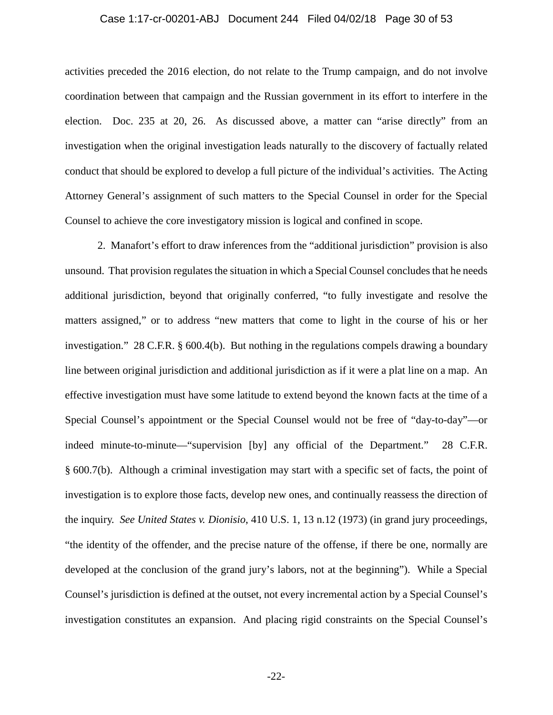#### Case 1:17-cr-00201-ABJ Document 244 Filed 04/02/18 Page 30 of 53

activities preceded the 2016 election, do not relate to the Trump campaign, and do not involve coordination between that campaign and the Russian government in its effort to interfere in the election. Doc. 235 at 20, 26. As discussed above, a matter can "arise directly" from an investigation when the original investigation leads naturally to the discovery of factually related conduct that should be explored to develop a full picture of the individual's activities. The Acting Attorney General's assignment of such matters to the Special Counsel in order for the Special Counsel to achieve the core investigatory mission is logical and confined in scope.

2. Manafort's effort to draw inferences from the "additional jurisdiction" provision is also unsound. That provision regulates the situation in which a Special Counsel concludes that he needs additional jurisdiction, beyond that originally conferred, "to fully investigate and resolve the matters assigned," or to address "new matters that come to light in the course of his or her investigation." 28 C.F.R. § 600.4(b). But nothing in the regulations compels drawing a boundary line between original jurisdiction and additional jurisdiction as if it were a plat line on a map. An effective investigation must have some latitude to extend beyond the known facts at the time of a Special Counsel's appointment or the Special Counsel would not be free of "day-to-day"—or indeed minute-to-minute—"supervision [by] any official of the Department." 28 C.F.R. § 600.7(b). Although a criminal investigation may start with a specific set of facts, the point of investigation is to explore those facts, develop new ones, and continually reassess the direction of the inquiry. *See United States v. Dionisio*, 410 U.S. 1, 13 n.12 (1973) (in grand jury proceedings, "the identity of the offender, and the precise nature of the offense, if there be one, normally are developed at the conclusion of the grand jury's labors, not at the beginning"). While a Special Counsel's jurisdiction is defined at the outset, not every incremental action by a Special Counsel's investigation constitutes an expansion. And placing rigid constraints on the Special Counsel's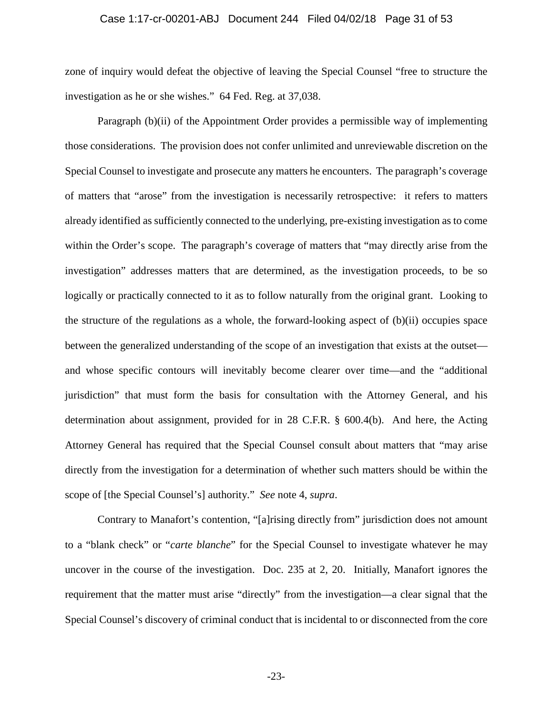#### Case 1:17-cr-00201-ABJ Document 244 Filed 04/02/18 Page 31 of 53

zone of inquiry would defeat the objective of leaving the Special Counsel "free to structure the investigation as he or she wishes." 64 Fed. Reg. at 37,038.

Paragraph (b)(ii) of the Appointment Order provides a permissible way of implementing those considerations. The provision does not confer unlimited and unreviewable discretion on the Special Counsel to investigate and prosecute any matters he encounters. The paragraph's coverage of matters that "arose" from the investigation is necessarily retrospective: it refers to matters already identified as sufficiently connected to the underlying, pre-existing investigation as to come within the Order's scope. The paragraph's coverage of matters that "may directly arise from the investigation" addresses matters that are determined, as the investigation proceeds, to be so logically or practically connected to it as to follow naturally from the original grant. Looking to the structure of the regulations as a whole, the forward-looking aspect of  $(b)(ii)$  occupies space between the generalized understanding of the scope of an investigation that exists at the outset and whose specific contours will inevitably become clearer over time—and the "additional jurisdiction" that must form the basis for consultation with the Attorney General, and his determination about assignment, provided for in 28 C.F.R. § 600.4(b). And here, the Acting Attorney General has required that the Special Counsel consult about matters that "may arise directly from the investigation for a determination of whether such matters should be within the scope of [the Special Counsel's] authority." *See* note 4, *supra*.

Contrary to Manafort's contention, "[a]rising directly from" jurisdiction does not amount to a "blank check" or "*carte blanche*" for the Special Counsel to investigate whatever he may uncover in the course of the investigation. Doc. 235 at 2, 20. Initially, Manafort ignores the requirement that the matter must arise "directly" from the investigation—a clear signal that the Special Counsel's discovery of criminal conduct that is incidental to or disconnected from the core

-23-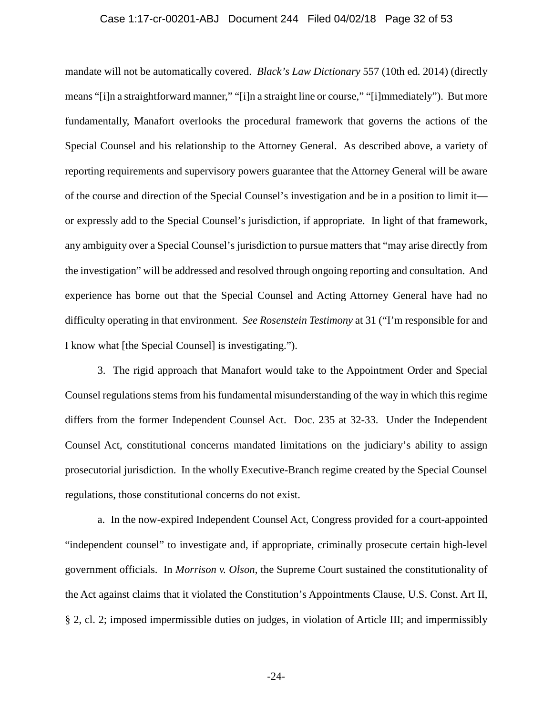#### Case 1:17-cr-00201-ABJ Document 244 Filed 04/02/18 Page 32 of 53

mandate will not be automatically covered. *Black's Law Dictionary* 557 (10th ed. 2014) (directly means "[i]n a straightforward manner," "[i]n a straight line or course," "[i]mmediately"). But more fundamentally, Manafort overlooks the procedural framework that governs the actions of the Special Counsel and his relationship to the Attorney General. As described above, a variety of reporting requirements and supervisory powers guarantee that the Attorney General will be aware of the course and direction of the Special Counsel's investigation and be in a position to limit it or expressly add to the Special Counsel's jurisdiction, if appropriate. In light of that framework, any ambiguity over a Special Counsel's jurisdiction to pursue matters that "may arise directly from the investigation" will be addressed and resolved through ongoing reporting and consultation. And experience has borne out that the Special Counsel and Acting Attorney General have had no difficulty operating in that environment. *See Rosenstein Testimony* at 31 ("I'm responsible for and I know what [the Special Counsel] is investigating.").

3. The rigid approach that Manafort would take to the Appointment Order and Special Counsel regulations stems from his fundamental misunderstanding of the way in which this regime differs from the former Independent Counsel Act. Doc. 235 at 32-33. Under the Independent Counsel Act, constitutional concerns mandated limitations on the judiciary's ability to assign prosecutorial jurisdiction. In the wholly Executive-Branch regime created by the Special Counsel regulations, those constitutional concerns do not exist.

a. In the now-expired Independent Counsel Act, Congress provided for a court-appointed "independent counsel" to investigate and, if appropriate, criminally prosecute certain high-level government officials. In *Morrison v. Olson*, the Supreme Court sustained the constitutionality of the Act against claims that it violated the Constitution's Appointments Clause, U.S. Const. Art II, § 2, cl. 2; imposed impermissible duties on judges, in violation of Article III; and impermissibly

-24-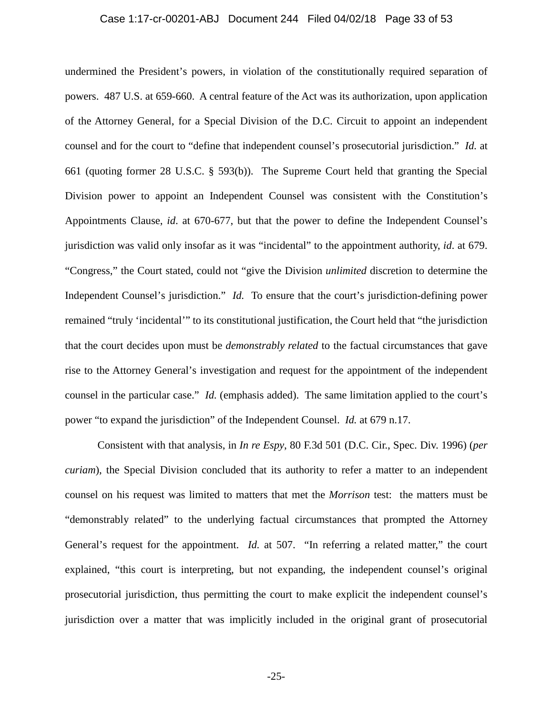#### Case 1:17-cr-00201-ABJ Document 244 Filed 04/02/18 Page 33 of 53

undermined the President's powers, in violation of the constitutionally required separation of powers. 487 U.S. at 659-660. A central feature of the Act was its authorization, upon application of the Attorney General, for a Special Division of the D.C. Circuit to appoint an independent counsel and for the court to "define that independent counsel's prosecutorial jurisdiction." *Id.* at 661 (quoting former 28 U.S.C. § 593(b)). The Supreme Court held that granting the Special Division power to appoint an Independent Counsel was consistent with the Constitution's Appointments Clause, *id*. at 670-677, but that the power to define the Independent Counsel's jurisdiction was valid only insofar as it was "incidental" to the appointment authority, *id*. at 679. "Congress," the Court stated, could not "give the Division *unlimited* discretion to determine the Independent Counsel's jurisdiction." *Id.* To ensure that the court's jurisdiction-defining power remained "truly 'incidental'" to its constitutional justification, the Court held that "the jurisdiction that the court decides upon must be *demonstrably related* to the factual circumstances that gave rise to the Attorney General's investigation and request for the appointment of the independent counsel in the particular case." *Id.* (emphasis added). The same limitation applied to the court's power "to expand the jurisdiction" of the Independent Counsel. *Id.* at 679 n.17.

Consistent with that analysis, in *In re Espy*, 80 F.3d 501 (D.C. Cir., Spec. Div. 1996) (*per curiam*), the Special Division concluded that its authority to refer a matter to an independent counsel on his request was limited to matters that met the *Morrison* test: the matters must be "demonstrably related" to the underlying factual circumstances that prompted the Attorney General's request for the appointment. *Id.* at 507. "In referring a related matter," the court explained, "this court is interpreting, but not expanding, the independent counsel's original prosecutorial jurisdiction, thus permitting the court to make explicit the independent counsel's jurisdiction over a matter that was implicitly included in the original grant of prosecutorial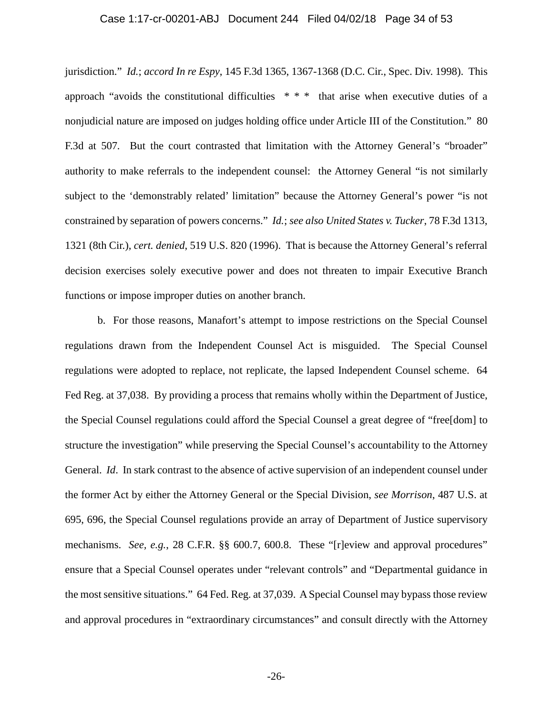#### Case 1:17-cr-00201-ABJ Document 244 Filed 04/02/18 Page 34 of 53

jurisdiction." *Id.*; *accord In re Espy*, 145 F.3d 1365, 1367-1368 (D.C. Cir., Spec. Div. 1998).This approach "avoids the constitutional difficulties \* \* \* that arise when executive duties of a nonjudicial nature are imposed on judges holding office under Article III of the Constitution." 80 F.3d at 507*.* But the court contrasted that limitation with the Attorney General's "broader" authority to make referrals to the independent counsel: the Attorney General "is not similarly subject to the 'demonstrably related' limitation" because the Attorney General's power "is not constrained by separation of powers concerns." *Id.*; *see also United States v. Tucker*, 78 F.3d 1313, 1321 (8th Cir.), *cert. denied*, 519 U.S. 820 (1996). That is because the Attorney General's referral decision exercises solely executive power and does not threaten to impair Executive Branch functions or impose improper duties on another branch.

b. For those reasons, Manafort's attempt to impose restrictions on the Special Counsel regulations drawn from the Independent Counsel Act is misguided. The Special Counsel regulations were adopted to replace, not replicate, the lapsed Independent Counsel scheme. 64 Fed Reg. at 37,038. By providing a process that remains wholly within the Department of Justice, the Special Counsel regulations could afford the Special Counsel a great degree of "free[dom] to structure the investigation" while preserving the Special Counsel's accountability to the Attorney General. *Id*. In stark contrast to the absence of active supervision of an independent counsel under the former Act by either the Attorney General or the Special Division, *see Morrison*, 487 U.S. at 695, 696, the Special Counsel regulations provide an array of Department of Justice supervisory mechanisms. *See, e.g.*, 28 C.F.R. §§ 600.7, 600.8. These "[r]eview and approval procedures" ensure that a Special Counsel operates under "relevant controls" and "Departmental guidance in the most sensitive situations." 64 Fed. Reg. at 37,039. ASpecial Counsel may bypass those review and approval procedures in "extraordinary circumstances" and consult directly with the Attorney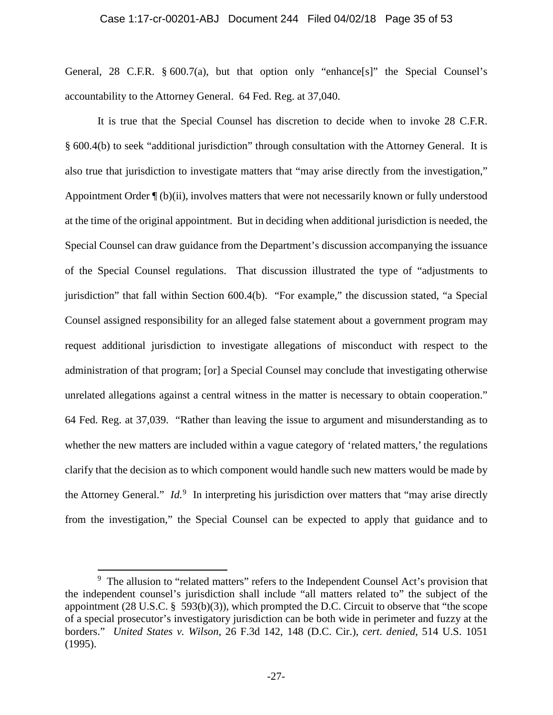#### Case 1:17-cr-00201-ABJ Document 244 Filed 04/02/18 Page 35 of 53

General, 28 C.F.R. § 600.7(a), but that option only "enhance[s]" the Special Counsel's accountability to the Attorney General. 64 Fed. Reg. at 37,040.

It is true that the Special Counsel has discretion to decide when to invoke 28 C.F.R. § 600.4(b) to seek "additional jurisdiction" through consultation with the Attorney General. It is also true that jurisdiction to investigate matters that "may arise directly from the investigation," Appointment Order ¶ (b)(ii), involves matters that were not necessarily known or fully understood at the time of the original appointment. But in deciding when additional jurisdiction is needed, the Special Counsel can draw guidance from the Department's discussion accompanying the issuance of the Special Counsel regulations. That discussion illustrated the type of "adjustments to jurisdiction" that fall within Section 600.4(b). "For example," the discussion stated, "a Special Counsel assigned responsibility for an alleged false statement about a government program may request additional jurisdiction to investigate allegations of misconduct with respect to the administration of that program; [or] a Special Counsel may conclude that investigating otherwise unrelated allegations against a central witness in the matter is necessary to obtain cooperation." 64 Fed. Reg. at 37,039. "Rather than leaving the issue to argument and misunderstanding as to whether the new matters are included within a vague category of 'related matters,' the regulations clarify that the decision as to which component would handle such new matters would be made by the Attorney General." *Id.*<sup>9</sup> In interpreting his jurisdiction over matters that "may arise directly from the investigation," the Special Counsel can be expected to apply that guidance and to

 $\overline{a}$ 

<sup>&</sup>lt;sup>9</sup> The allusion to "related matters" refers to the Independent Counsel Act's provision that the independent counsel's jurisdiction shall include "all matters related to" the subject of the appointment (28 U.S.C. § 593(b)(3)), which prompted the D.C. Circuit to observe that "the scope of a special prosecutor's investigatory jurisdiction can be both wide in perimeter and fuzzy at the borders." *United States v. Wilson*, 26 F.3d 142, 148 (D.C. Cir.), *cert*. *denied*, 514 U.S. 1051 (1995).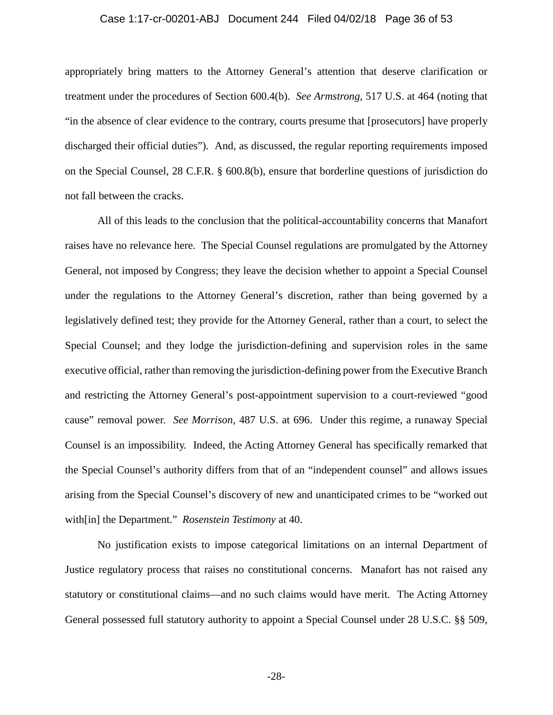#### Case 1:17-cr-00201-ABJ Document 244 Filed 04/02/18 Page 36 of 53

appropriately bring matters to the Attorney General's attention that deserve clarification or treatment under the procedures of Section 600.4(b). *See Armstrong*, 517 U.S. at 464 (noting that "in the absence of clear evidence to the contrary, courts presume that [prosecutors] have properly discharged their official duties"). And, as discussed, the regular reporting requirements imposed on the Special Counsel, 28 C.F.R. § 600.8(b), ensure that borderline questions of jurisdiction do not fall between the cracks.

All of this leads to the conclusion that the political-accountability concerns that Manafort raises have no relevance here. The Special Counsel regulations are promulgated by the Attorney General, not imposed by Congress; they leave the decision whether to appoint a Special Counsel under the regulations to the Attorney General's discretion, rather than being governed by a legislatively defined test; they provide for the Attorney General, rather than a court, to select the Special Counsel; and they lodge the jurisdiction-defining and supervision roles in the same executive official, rather than removing the jurisdiction-defining power from the Executive Branch and restricting the Attorney General's post-appointment supervision to a court-reviewed "good cause" removal power. *See Morrison,* 487 U.S. at 696. Under this regime, a runaway Special Counsel is an impossibility. Indeed, the Acting Attorney General has specifically remarked that the Special Counsel's authority differs from that of an "independent counsel" and allows issues arising from the Special Counsel's discovery of new and unanticipated crimes to be "worked out with[in] the Department." *Rosenstein Testimony* at 40.

No justification exists to impose categorical limitations on an internal Department of Justice regulatory process that raises no constitutional concerns. Manafort has not raised any statutory or constitutional claims—and no such claims would have merit. The Acting Attorney General possessed full statutory authority to appoint a Special Counsel under 28 U.S.C. §§ 509,

-28-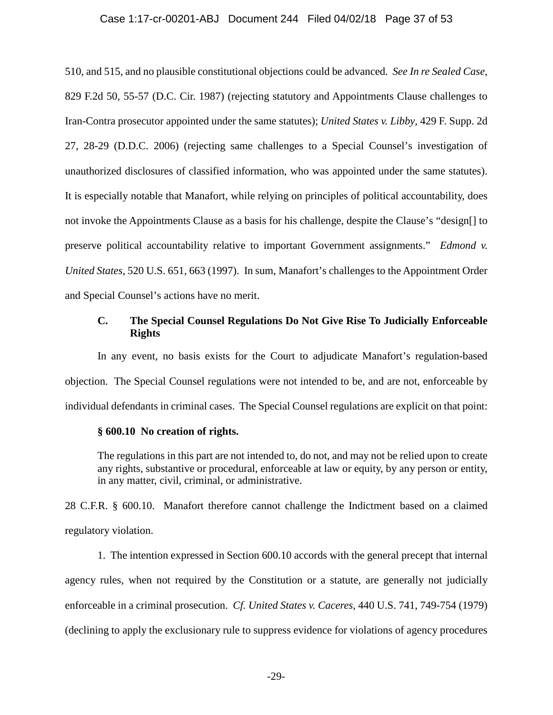#### Case 1:17-cr-00201-ABJ Document 244 Filed 04/02/18 Page 37 of 53

510, and 515, and no plausible constitutional objections could be advanced. *See In re Sealed Case*, 829 F.2d 50, 55-57 (D.C. Cir. 1987) (rejecting statutory and Appointments Clause challenges to Iran-Contra prosecutor appointed under the same statutes); *United States v. Libby*, 429 F. Supp. 2d 27, 28-29 (D.D.C. 2006) (rejecting same challenges to a Special Counsel's investigation of unauthorized disclosures of classified information, who was appointed under the same statutes). It is especially notable that Manafort, while relying on principles of political accountability, does not invoke the Appointments Clause as a basis for his challenge, despite the Clause's "design[] to preserve political accountability relative to important Government assignments." *Edmond v. United States*, 520 U.S. 651, 663 (1997). In sum, Manafort's challenges to the Appointment Order and Special Counsel's actions have no merit.

## **C. The Special Counsel Regulations Do Not Give Rise To Judicially Enforceable Rights**

In any event, no basis exists for the Court to adjudicate Manafort's regulation-based objection. The Special Counsel regulations were not intended to be, and are not, enforceable by individual defendants in criminal cases. The Special Counsel regulations are explicit on that point:

#### **§ 600.10 No creation of rights.**

The regulations in this part are not intended to, do not, and may not be relied upon to create any rights, substantive or procedural, enforceable at law or equity, by any person or entity, in any matter, civil, criminal, or administrative.

28 C.F.R. § 600.10. Manafort therefore cannot challenge the Indictment based on a claimed regulatory violation.

1. The intention expressed in Section 600.10 accords with the general precept that internal agency rules, when not required by the Constitution or a statute, are generally not judicially enforceable in a criminal prosecution. *Cf. United States v. Caceres*, 440 U.S. 741, 749-754 (1979) (declining to apply the exclusionary rule to suppress evidence for violations of agency procedures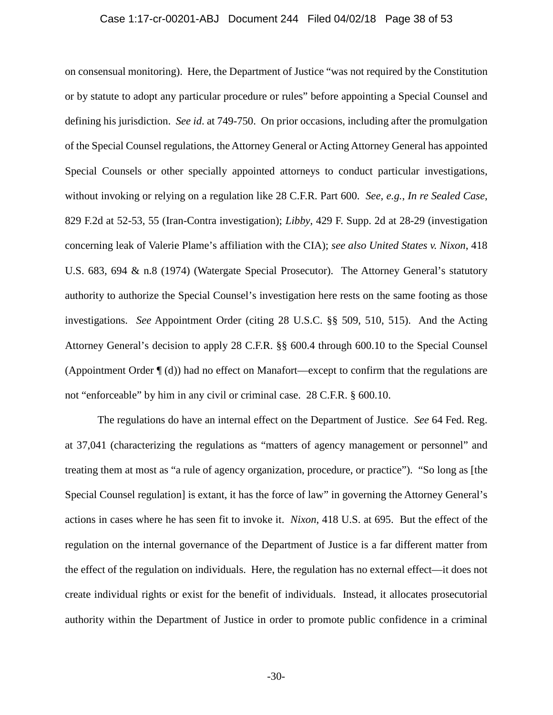#### Case 1:17-cr-00201-ABJ Document 244 Filed 04/02/18 Page 38 of 53

on consensual monitoring). Here, the Department of Justice "was not required by the Constitution or by statute to adopt any particular procedure or rules" before appointing a Special Counsel and defining his jurisdiction. *See id*. at 749-750. On prior occasions, including after the promulgation of the Special Counsel regulations, the Attorney General or Acting Attorney General has appointed Special Counsels or other specially appointed attorneys to conduct particular investigations, without invoking or relying on a regulation like 28 C.F.R. Part 600. *See, e.g.*, *In re Sealed Case*, 829 F.2d at 52-53, 55 (Iran-Contra investigation); *Libby*, 429 F. Supp. 2d at 28-29 (investigation concerning leak of Valerie Plame's affiliation with the CIA); *see also United States v. Nixon*, 418 U.S. 683, 694 & n.8 (1974) (Watergate Special Prosecutor). The Attorney General's statutory authority to authorize the Special Counsel's investigation here rests on the same footing as those investigations. *See* Appointment Order (citing 28 U.S.C. §§ 509, 510, 515). And the Acting Attorney General's decision to apply 28 C.F.R. §§ 600.4 through 600.10 to the Special Counsel (Appointment Order ¶ (d)) had no effect on Manafort—except to confirm that the regulations are not "enforceable" by him in any civil or criminal case. 28 C.F.R. § 600.10.

The regulations do have an internal effect on the Department of Justice. *See* 64 Fed. Reg. at 37,041 (characterizing the regulations as "matters of agency management or personnel" and treating them at most as "a rule of agency organization, procedure, or practice"). "So long as [the Special Counsel regulation] is extant, it has the force of law" in governing the Attorney General's actions in cases where he has seen fit to invoke it. *Nixon*, 418 U.S. at 695. But the effect of the regulation on the internal governance of the Department of Justice is a far different matter from the effect of the regulation on individuals. Here, the regulation has no external effect—it does not create individual rights or exist for the benefit of individuals. Instead, it allocates prosecutorial authority within the Department of Justice in order to promote public confidence in a criminal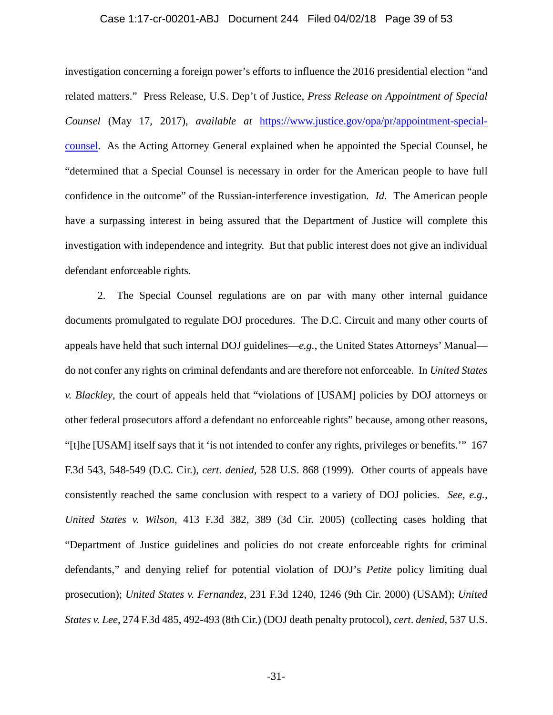#### Case 1:17-cr-00201-ABJ Document 244 Filed 04/02/18 Page 39 of 53

investigation concerning a foreign power's efforts to influence the 2016 presidential election "and related matters." Press Release, U.S. Dep't of Justice, *Press Release on Appointment of Special Counsel* (May 17, 2017), *available at* https://www.justice.gov/opa/pr/appointment-specialcounsel. As the Acting Attorney General explained when he appointed the Special Counsel, he "determined that a Special Counsel is necessary in order for the American people to have full confidence in the outcome" of the Russian-interference investigation. *Id.* The American people have a surpassing interest in being assured that the Department of Justice will complete this investigation with independence and integrity. But that public interest does not give an individual defendant enforceable rights.

2. The Special Counsel regulations are on par with many other internal guidance documents promulgated to regulate DOJ procedures. The D.C. Circuit and many other courts of appeals have held that such internal DOJ guidelines—*e.g.*, the United States Attorneys' Manual do not confer any rights on criminal defendants and are therefore not enforceable. In *United States v. Blackley*, the court of appeals held that "violations of [USAM] policies by DOJ attorneys or other federal prosecutors afford a defendant no enforceable rights" because, among other reasons, "[t]he [USAM] itself says that it 'is not intended to confer any rights, privileges or benefits.'" 167 F.3d 543, 548-549 (D.C. Cir.), *cert*. *denied*, 528 U.S. 868 (1999). Other courts of appeals have consistently reached the same conclusion with respect to a variety of DOJ policies. *See, e.g.*, *United States v. Wilson*, 413 F.3d 382, 389 (3d Cir. 2005) (collecting cases holding that "Department of Justice guidelines and policies do not create enforceable rights for criminal defendants," and denying relief for potential violation of DOJ's *Petite* policy limiting dual prosecution); *United States v. Fernandez*, 231 F.3d 1240, 1246 (9th Cir. 2000) (USAM); *United States v. Lee*, 274 F.3d 485, 492-493 (8th Cir.) (DOJ death penalty protocol), *cert*. *denied*, 537 U.S.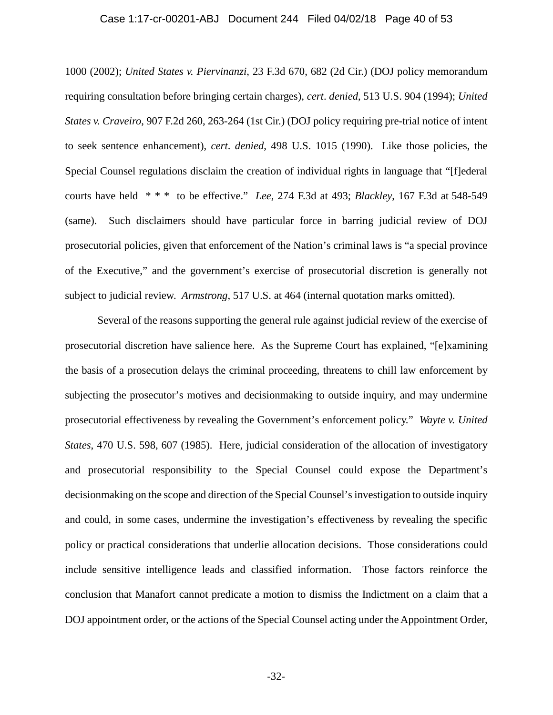#### Case 1:17-cr-00201-ABJ Document 244 Filed 04/02/18 Page 40 of 53

1000 (2002); *United States v. Piervinanzi*, 23 F.3d 670, 682 (2d Cir.) (DOJ policy memorandum requiring consultation before bringing certain charges), *cert*. *denied*, 513 U.S. 904 (1994); *United States v. Craveiro*, 907 F.2d 260, 263-264 (1st Cir.) (DOJ policy requiring pre-trial notice of intent to seek sentence enhancement), *cert*. *denied*, 498 U.S. 1015 (1990). Like those policies, the Special Counsel regulations disclaim the creation of individual rights in language that "[f]ederal courts have held \* \* \* to be effective." *Lee*, 274 F.3d at 493; *Blackley*, 167 F.3d at 548-549 (same). Such disclaimers should have particular force in barring judicial review of DOJ prosecutorial policies, given that enforcement of the Nation's criminal laws is "a special province of the Executive," and the government's exercise of prosecutorial discretion is generally not subject to judicial review. *Armstrong*, 517 U.S. at 464 (internal quotation marks omitted).

Several of the reasons supporting the general rule against judicial review of the exercise of prosecutorial discretion have salience here. As the Supreme Court has explained, "[e]xamining the basis of a prosecution delays the criminal proceeding, threatens to chill law enforcement by subjecting the prosecutor's motives and decisionmaking to outside inquiry, and may undermine prosecutorial effectiveness by revealing the Government's enforcement policy." *Wayte v. United States*, 470 U.S. 598, 607 (1985). Here, judicial consideration of the allocation of investigatory and prosecutorial responsibility to the Special Counsel could expose the Department's decisionmaking on the scope and direction of the Special Counsel's investigation to outside inquiry and could, in some cases, undermine the investigation's effectiveness by revealing the specific policy or practical considerations that underlie allocation decisions. Those considerations could include sensitive intelligence leads and classified information. Those factors reinforce the conclusion that Manafort cannot predicate a motion to dismiss the Indictment on a claim that a DOJ appointment order, or the actions of the Special Counsel acting under the Appointment Order,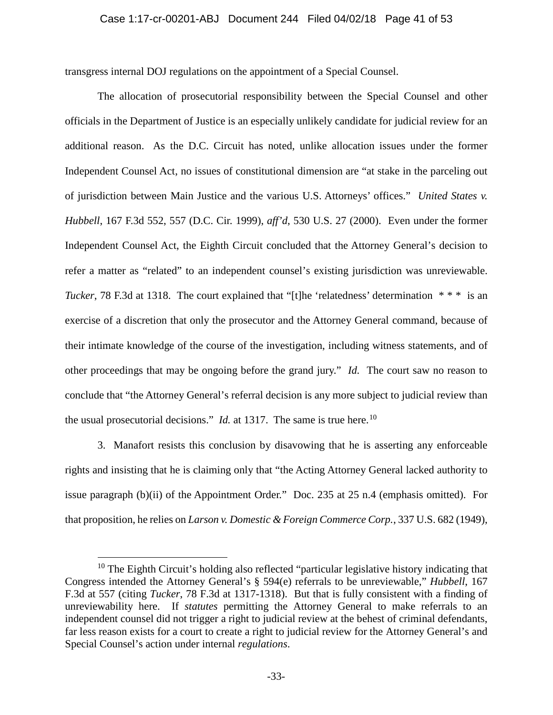transgress internal DOJ regulations on the appointment of a Special Counsel.

The allocation of prosecutorial responsibility between the Special Counsel and other officials in the Department of Justice is an especially unlikely candidate for judicial review for an additional reason. As the D.C. Circuit has noted, unlike allocation issues under the former Independent Counsel Act, no issues of constitutional dimension are "at stake in the parceling out of jurisdiction between Main Justice and the various U.S. Attorneys' offices." *United States v. Hubbell*, 167 F.3d 552, 557 (D.C. Cir. 1999), *aff'd*, 530 U.S. 27 (2000). Even under the former Independent Counsel Act, the Eighth Circuit concluded that the Attorney General's decision to refer a matter as "related" to an independent counsel's existing jurisdiction was unreviewable. *Tucker*, 78 F.3d at 1318. The court explained that "[t]he 'relatedness' determination \*\*\* is an exercise of a discretion that only the prosecutor and the Attorney General command, because of their intimate knowledge of the course of the investigation, including witness statements, and of other proceedings that may be ongoing before the grand jury." *Id.* The court saw no reason to conclude that "the Attorney General's referral decision is any more subject to judicial review than the usual prosecutorial decisions." *Id.* at 1317. The same is true here.<sup>10</sup>

3. Manafort resists this conclusion by disavowing that he is asserting any enforceable rights and insisting that he is claiming only that "the Acting Attorney General lacked authority to issue paragraph (b)(ii) of the Appointment Order." Doc. 235 at 25 n.4 (emphasis omitted). For that proposition, he relies on *Larson v. Domestic & Foreign Commerce Corp.*, 337 U.S. 682 (1949),

 $\overline{a}$ 

 $10$  The Eighth Circuit's holding also reflected "particular legislative history indicating that Congress intended the Attorney General's § 594(e) referrals to be unreviewable," *Hubbell*, 167 F.3d at 557 (citing *Tucker*, 78 F.3d at 1317-1318). But that is fully consistent with a finding of unreviewability here. If *statutes* permitting the Attorney General to make referrals to an independent counsel did not trigger a right to judicial review at the behest of criminal defendants, far less reason exists for a court to create a right to judicial review for the Attorney General's and Special Counsel's action under internal *regulations*.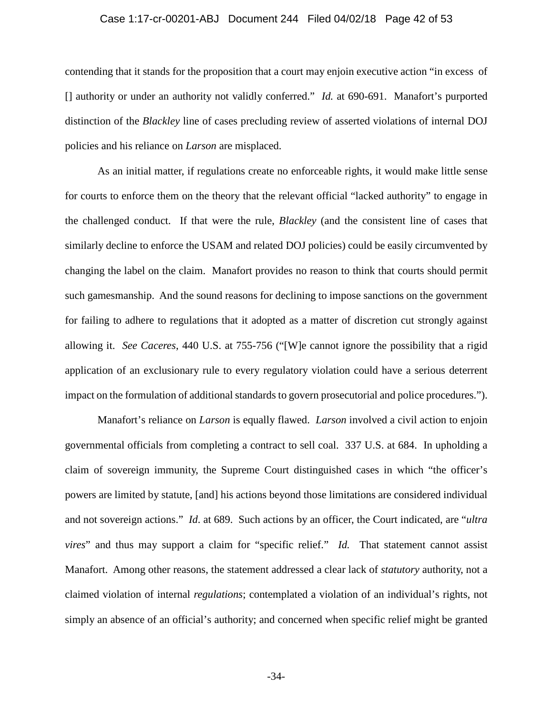#### Case 1:17-cr-00201-ABJ Document 244 Filed 04/02/18 Page 42 of 53

contending that it stands for the proposition that a court may enjoin executive action "in excess of [] authority or under an authority not validly conferred." *Id.* at 690-691. Manafort's purported distinction of the *Blackley* line of cases precluding review of asserted violations of internal DOJ policies and his reliance on *Larson* are misplaced.

As an initial matter, if regulations create no enforceable rights, it would make little sense for courts to enforce them on the theory that the relevant official "lacked authority" to engage in the challenged conduct. If that were the rule, *Blackley* (and the consistent line of cases that similarly decline to enforce the USAM and related DOJ policies) could be easily circumvented by changing the label on the claim. Manafort provides no reason to think that courts should permit such gamesmanship. And the sound reasons for declining to impose sanctions on the government for failing to adhere to regulations that it adopted as a matter of discretion cut strongly against allowing it. *See Caceres*, 440 U.S. at 755-756 ("[W]e cannot ignore the possibility that a rigid application of an exclusionary rule to every regulatory violation could have a serious deterrent impact on the formulation of additional standards to govern prosecutorial and police procedures.").

Manafort's reliance on *Larson* is equally flawed. *Larson* involved a civil action to enjoin governmental officials from completing a contract to sell coal. 337 U.S. at 684. In upholding a claim of sovereign immunity, the Supreme Court distinguished cases in which "the officer's powers are limited by statute, [and] his actions beyond those limitations are considered individual and not sovereign actions." *Id*. at 689. Such actions by an officer, the Court indicated, are "*ultra vires*" and thus may support a claim for "specific relief." *Id.* That statement cannot assist Manafort. Among other reasons, the statement addressed a clear lack of *statutory* authority, not a claimed violation of internal *regulations*; contemplated a violation of an individual's rights, not simply an absence of an official's authority; and concerned when specific relief might be granted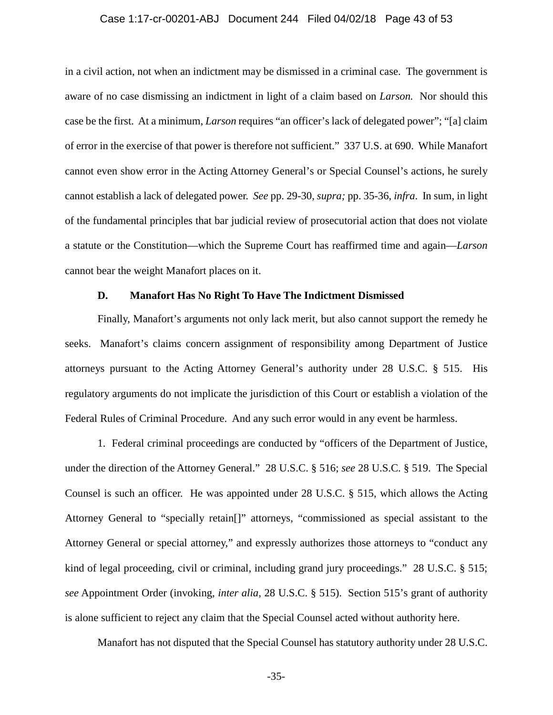#### Case 1:17-cr-00201-ABJ Document 244 Filed 04/02/18 Page 43 of 53

in a civil action, not when an indictment may be dismissed in a criminal case. The government is aware of no case dismissing an indictment in light of a claim based on *Larson.* Nor should this case be the first. At a minimum, *Larson* requires "an officer's lack of delegated power"; "[a] claim of error in the exercise of that power is therefore not sufficient." 337 U.S. at 690. While Manafort cannot even show error in the Acting Attorney General's or Special Counsel's actions, he surely cannot establish a lack of delegated power. *See* pp. 29-30, *supra;* pp. 35-36, *infra*. In sum, in light of the fundamental principles that bar judicial review of prosecutorial action that does not violate a statute or the Constitution—which the Supreme Court has reaffirmed time and again—*Larson* cannot bear the weight Manafort places on it.

## **D. Manafort Has No Right To Have The Indictment Dismissed**

Finally, Manafort's arguments not only lack merit, but also cannot support the remedy he seeks. Manafort's claims concern assignment of responsibility among Department of Justice attorneys pursuant to the Acting Attorney General's authority under 28 U.S.C. § 515. His regulatory arguments do not implicate the jurisdiction of this Court or establish a violation of the Federal Rules of Criminal Procedure. And any such error would in any event be harmless.

1. Federal criminal proceedings are conducted by "officers of the Department of Justice, under the direction of the Attorney General." 28 U.S.C. § 516; *see* 28 U.S.C. § 519. The Special Counsel is such an officer. He was appointed under 28 U.S.C. § 515, which allows the Acting Attorney General to "specially retain[]" attorneys, "commissioned as special assistant to the Attorney General or special attorney," and expressly authorizes those attorneys to "conduct any kind of legal proceeding, civil or criminal, including grand jury proceedings." 28 U.S.C. § 515; *see* Appointment Order (invoking, *inter alia*, 28 U.S.C. § 515). Section 515's grant of authority is alone sufficient to reject any claim that the Special Counsel acted without authority here.

Manafort has not disputed that the Special Counsel has statutory authority under 28 U.S.C.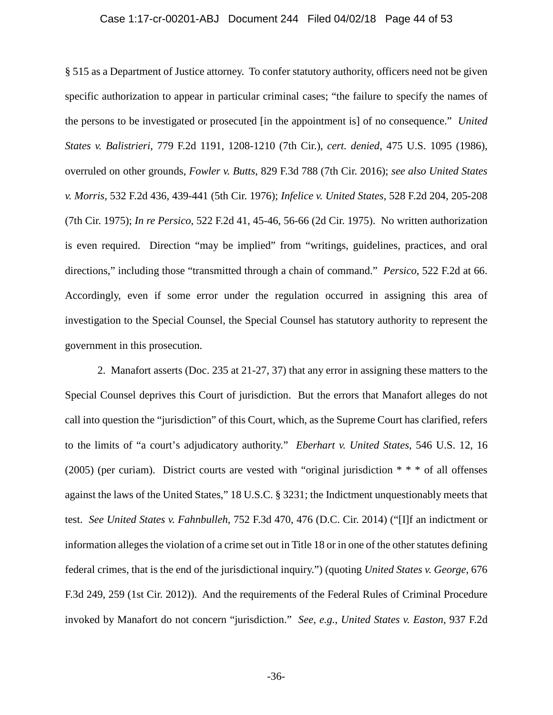#### Case 1:17-cr-00201-ABJ Document 244 Filed 04/02/18 Page 44 of 53

§ 515 as a Department of Justice attorney. To confer statutory authority, officers need not be given specific authorization to appear in particular criminal cases; "the failure to specify the names of the persons to be investigated or prosecuted [in the appointment is] of no consequence." *United States v. Balistrieri*, 779 F.2d 1191, 1208-1210 (7th Cir.), *cert. denied*, 475 U.S. 1095 (1986), overruled on other grounds, *Fowler v. Butts*, 829 F.3d 788 (7th Cir. 2016); *see also United States v. Morris*, 532 F.2d 436, 439-441 (5th Cir. 1976); *Infelice v. United States*, 528 F.2d 204, 205-208 (7th Cir. 1975); *In re Persico*, 522 F.2d 41, 45-46, 56-66 (2d Cir. 1975). No written authorization is even required. Direction "may be implied" from "writings, guidelines, practices, and oral directions," including those "transmitted through a chain of command." *Persico*, 522 F.2d at 66. Accordingly, even if some error under the regulation occurred in assigning this area of investigation to the Special Counsel, the Special Counsel has statutory authority to represent the government in this prosecution.

2. Manafort asserts (Doc. 235 at 21-27, 37) that any error in assigning these matters to the Special Counsel deprives this Court of jurisdiction. But the errors that Manafort alleges do not call into question the "jurisdiction" of this Court, which, as the Supreme Court has clarified, refers to the limits of "a court's adjudicatory authority." *Eberhart v. United States*, 546 U.S. 12, 16 (2005) (per curiam). District courts are vested with "original jurisdiction  $**$ " of all offenses against the laws of the United States," 18 U.S.C. § 3231; the Indictment unquestionably meets that test. *See United States v. Fahnbulleh*, 752 F.3d 470, 476 (D.C. Cir. 2014) ("[I]f an indictment or information alleges the violation of a crime set out in Title 18 or in one of the other statutes defining federal crimes, that is the end of the jurisdictional inquiry.") (quoting *United States v. George*, 676 F.3d 249, 259 (1st Cir. 2012)). And the requirements of the Federal Rules of Criminal Procedure invoked by Manafort do not concern "jurisdiction." *See, e.g.*, *United States v. Easton*, 937 F.2d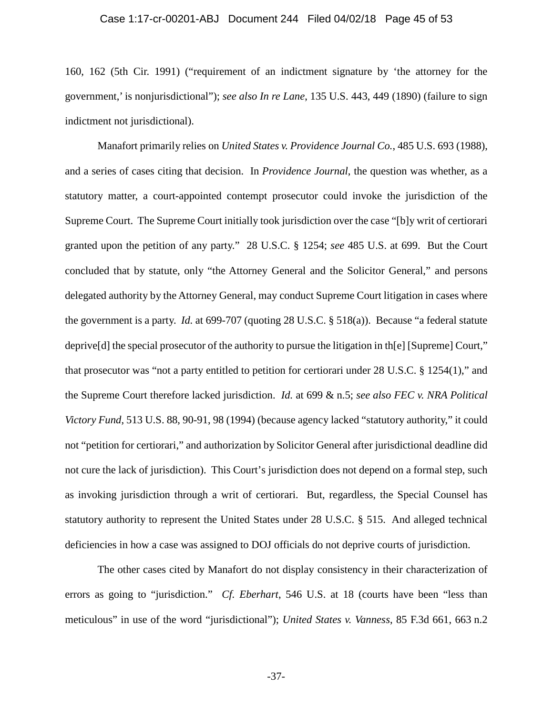#### Case 1:17-cr-00201-ABJ Document 244 Filed 04/02/18 Page 45 of 53

160, 162 (5th Cir. 1991) ("requirement of an indictment signature by 'the attorney for the government,' is nonjurisdictional"); *see also In re Lane*, 135 U.S. 443, 449 (1890) (failure to sign indictment not jurisdictional).

Manafort primarily relies on *United States v. Providence Journal Co.*, 485 U.S. 693 (1988), and a series of cases citing that decision. In *Providence Journal*, the question was whether, as a statutory matter, a court-appointed contempt prosecutor could invoke the jurisdiction of the Supreme Court. The Supreme Court initially took jurisdiction over the case "[b]y writ of certiorari granted upon the petition of any party." 28 U.S.C. § 1254; *see* 485 U.S. at 699. But the Court concluded that by statute, only "the Attorney General and the Solicitor General," and persons delegated authority by the Attorney General, may conduct Supreme Court litigation in cases where the government is a party. *Id.* at 699-707 (quoting 28 U.S.C. § 518(a)). Because "a federal statute deprive[d] the special prosecutor of the authority to pursue the litigation in th[e] [Supreme] Court," that prosecutor was "not a party entitled to petition for certiorari under 28 U.S.C. § 1254(1)," and the Supreme Court therefore lacked jurisdiction. *Id.* at 699 & n.5; *see also FEC v. NRA Political Victory Fund*, 513 U.S. 88, 90-91, 98 (1994) (because agency lacked "statutory authority," it could not "petition for certiorari," and authorization by Solicitor General after jurisdictional deadline did not cure the lack of jurisdiction). This Court's jurisdiction does not depend on a formal step, such as invoking jurisdiction through a writ of certiorari. But, regardless, the Special Counsel has statutory authority to represent the United States under 28 U.S.C. § 515. And alleged technical deficiencies in how a case was assigned to DOJ officials do not deprive courts of jurisdiction.

The other cases cited by Manafort do not display consistency in their characterization of errors as going to "jurisdiction." *Cf. Eberhart*, 546 U.S. at 18 (courts have been "less than meticulous" in use of the word "jurisdictional"); *United States v. Vanness*, 85 F.3d 661, 663 n.2

-37-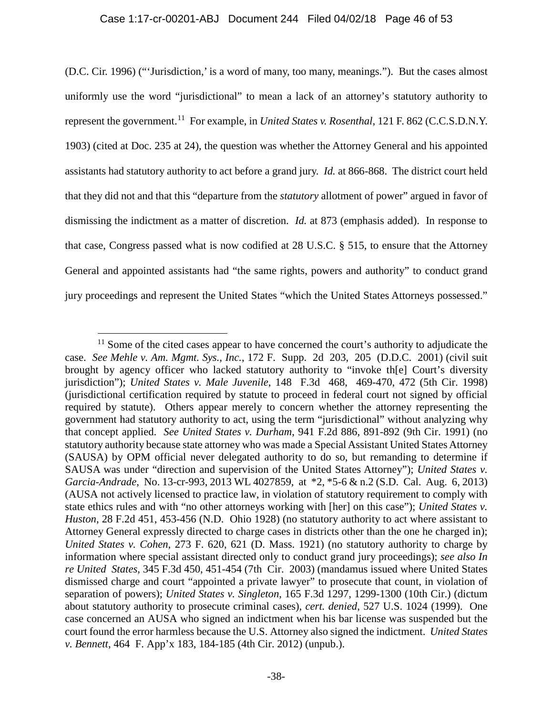(D.C. Cir. 1996) ("'Jurisdiction,' is a word of many, too many, meanings."). But the cases almost uniformly use the word "jurisdictional" to mean a lack of an attorney's statutory authority to represent the government.11 For example, in *United States v. Rosenthal*, 121 F. 862 (C.C.S.D.N.Y. 1903) (cited at Doc. 235 at 24), the question was whether the Attorney General and his appointed assistants had statutory authority to act before a grand jury. *Id.* at 866-868. The district court held that they did not and that this "departure from the *statutory* allotment of power" argued in favor of dismissing the indictment as a matter of discretion. *Id.* at 873 (emphasis added). In response to that case, Congress passed what is now codified at 28 U.S.C. § 515, to ensure that the Attorney General and appointed assistants had "the same rights, powers and authority" to conduct grand jury proceedings and represent the United States "which the United States Attorneys possessed."

 $\overline{a}$ 

 $11$  Some of the cited cases appear to have concerned the court's authority to adjudicate the case. *See Mehle v. Am. Mgmt. Sys., Inc.*, 172 F. Supp. 2d 203, 205 (D.D.C. 2001) (civil suit brought by agency officer who lacked statutory authority to "invoke th[e] Court's diversity jurisdiction"); *United States v. Male Juvenile*, 148 F.3d 468, 469-470, 472 (5th Cir. 1998) (jurisdictional certification required by statute to proceed in federal court not signed by official required by statute). Others appear merely to concern whether the attorney representing the government had statutory authority to act, using the term "jurisdictional" without analyzing why that concept applied. *See United States v. Durham*, 941 F.2d 886, 891-892 (9th Cir. 1991) (no statutory authority because state attorney who was made a Special Assistant United States Attorney (SAUSA) by OPM official never delegated authority to do so, but remanding to determine if SAUSA was under "direction and supervision of the United States Attorney"); *United States v. Garcia-Andrade*, No. 13-cr-993, 2013 WL 4027859, at \*2, \*5-6 & n.2 (S.D. Cal. Aug. 6, 2013) (AUSA not actively licensed to practice law, in violation of statutory requirement to comply with state ethics rules and with "no other attorneys working with [her] on this case"); *United States v. Huston*, 28 F.2d 451, 453-456 (N.D. Ohio 1928) (no statutory authority to act where assistant to Attorney General expressly directed to charge cases in districts other than the one he charged in); *United States v. Cohen*, 273 F. 620, 621 (D. Mass. 1921) (no statutory authority to charge by information where special assistant directed only to conduct grand jury proceedings); *see also In re United States*, 345 F.3d 450, 451-454 (7th Cir. 2003) (mandamus issued where United States dismissed charge and court "appointed a private lawyer" to prosecute that count, in violation of separation of powers); *United States v. Singleton*, 165 F.3d 1297, 1299-1300 (10th Cir.) (dictum about statutory authority to prosecute criminal cases), *cert. denied*, 527 U.S. 1024 (1999). One case concerned an AUSA who signed an indictment when his bar license was suspended but the court found the error harmless because the U.S. Attorney also signed the indictment. *United States v. Bennett*, 464 F. App'x 183, 184-185 (4th Cir. 2012) (unpub.).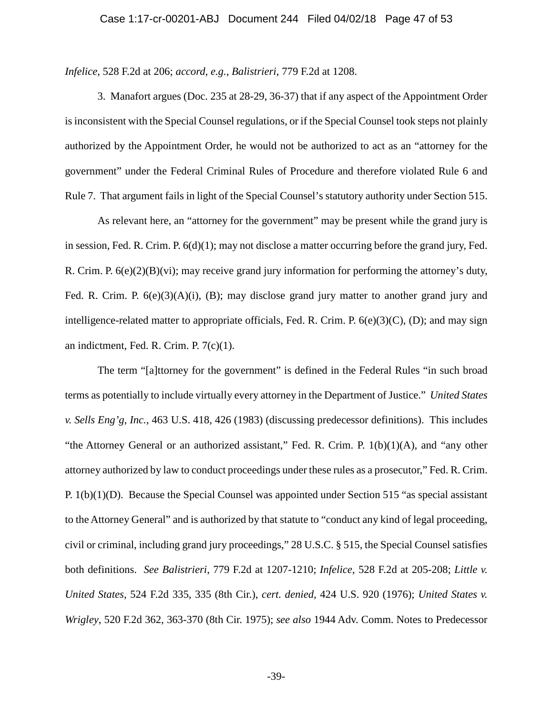*Infelice*, 528 F.2d at 206; *accord*, *e.g.*, *Balistrieri*, 779 F.2d at 1208.

3. Manafort argues (Doc. 235 at 28-29, 36-37) that if any aspect of the Appointment Order is inconsistent with the Special Counsel regulations, or if the Special Counsel took steps not plainly authorized by the Appointment Order, he would not be authorized to act as an "attorney for the government" under the Federal Criminal Rules of Procedure and therefore violated Rule 6 and Rule 7. That argument fails in light of the Special Counsel's statutory authority under Section 515.

As relevant here, an "attorney for the government" may be present while the grand jury is in session, Fed. R. Crim. P. 6(d)(1); may not disclose a matter occurring before the grand jury, Fed. R. Crim. P. 6(e)(2)(B)(vi); may receive grand jury information for performing the attorney's duty, Fed. R. Crim. P.  $6(e)(3)(A)(i)$ , (B); may disclose grand jury matter to another grand jury and intelligence-related matter to appropriate officials, Fed. R. Crim. P.  $6(e)(3)(C)$ , (D); and may sign an indictment, Fed. R. Crim. P. 7(c)(1).

The term "[a]ttorney for the government" is defined in the Federal Rules "in such broad terms as potentially to include virtually every attorney in the Department of Justice." *United States v. Sells Eng'g, Inc.*, 463 U.S. 418, 426 (1983) (discussing predecessor definitions). This includes "the Attorney General or an authorized assistant," Fed. R. Crim. P.  $1(b)(1)(A)$ , and "any other attorney authorized by law to conduct proceedings under these rules as a prosecutor," Fed. R. Crim. P. 1(b)(1)(D). Because the Special Counsel was appointed under Section 515 "as special assistant to the Attorney General" and is authorized by that statute to "conduct any kind of legal proceeding, civil or criminal, including grand jury proceedings," 28 U.S.C. § 515, the Special Counsel satisfies both definitions. *See Balistrieri*, 779 F.2d at 1207-1210; *Infelice*, 528 F.2d at 205-208; *Little v. United States*, 524 F.2d 335, 335 (8th Cir.), *cert. denied*, 424 U.S. 920 (1976); *United States v. Wrigley*, 520 F.2d 362, 363-370 (8th Cir. 1975); *see also* 1944 Adv. Comm. Notes to Predecessor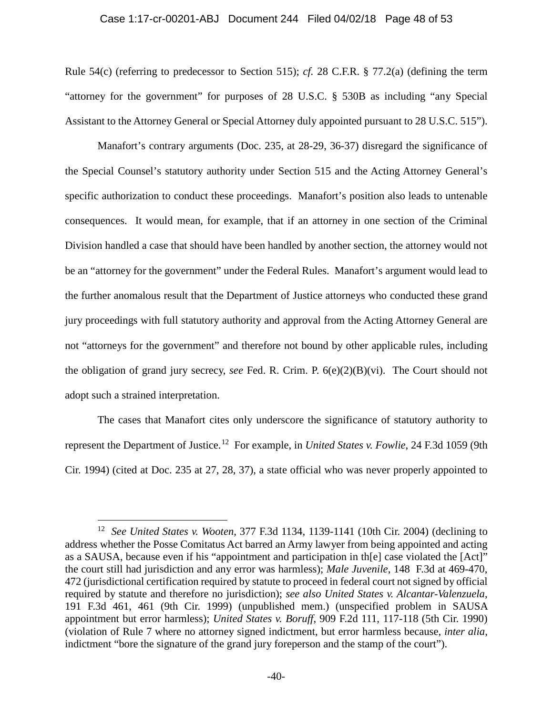#### Case 1:17-cr-00201-ABJ Document 244 Filed 04/02/18 Page 48 of 53

Rule 54(c) (referring to predecessor to Section 515); *cf.* 28 C.F.R. § 77.2(a) (defining the term "attorney for the government" for purposes of 28 U.S.C. § 530B as including "any Special Assistant to the Attorney General or Special Attorney duly appointed pursuant to 28 U.S.C. 515").

Manafort's contrary arguments (Doc. 235, at 28-29, 36-37) disregard the significance of the Special Counsel's statutory authority under Section 515 and the Acting Attorney General's specific authorization to conduct these proceedings. Manafort's position also leads to untenable consequences. It would mean, for example, that if an attorney in one section of the Criminal Division handled a case that should have been handled by another section, the attorney would not be an "attorney for the government" under the Federal Rules. Manafort's argument would lead to the further anomalous result that the Department of Justice attorneys who conducted these grand jury proceedings with full statutory authority and approval from the Acting Attorney General are not "attorneys for the government" and therefore not bound by other applicable rules, including the obligation of grand jury secrecy, *see* Fed. R. Crim. P. 6(e)(2)(B)(vi). The Court should not adopt such a strained interpretation.

The cases that Manafort cites only underscore the significance of statutory authority to represent the Department of Justice.12 For example, in *United States v. Fowlie*, 24 F.3d 1059 (9th Cir. 1994) (cited at Doc. 235 at 27, 28, 37), a state official who was never properly appointed to

 $\overline{a}$ 

<sup>12</sup> *See United States v. Wooten*, 377 F.3d 1134, 1139-1141 (10th Cir. 2004) (declining to address whether the Posse Comitatus Act barred an Army lawyer from being appointed and acting as a SAUSA, because even if his "appointment and participation in th[e] case violated the [Act]" the court still had jurisdiction and any error was harmless); *Male Juvenile*, 148 F.3d at 469-470, 472 (jurisdictional certification required by statute to proceed in federal court not signed by official required by statute and therefore no jurisdiction); *see also United States v. Alcantar-Valenzuela*, 191 F.3d 461, 461 (9th Cir. 1999) (unpublished mem.) (unspecified problem in SAUSA appointment but error harmless); *United States v. Boruff*, 909 F.2d 111, 117-118 (5th Cir. 1990) (violation of Rule 7 where no attorney signed indictment, but error harmless because, *inter alia*, indictment "bore the signature of the grand jury foreperson and the stamp of the court").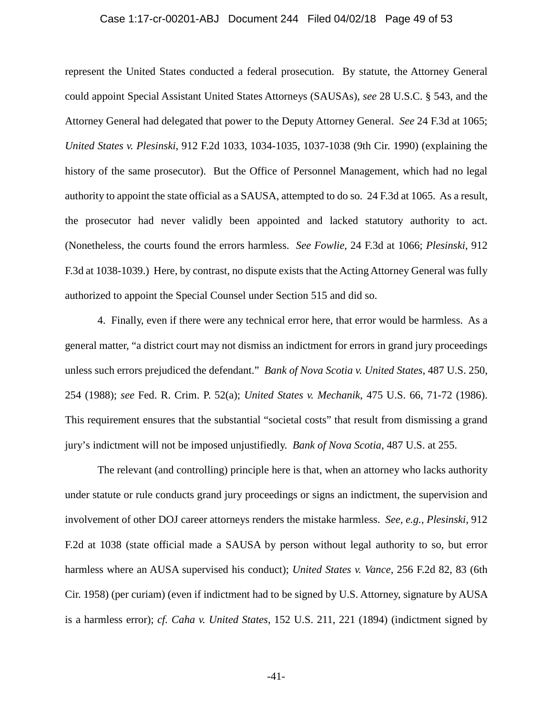#### Case 1:17-cr-00201-ABJ Document 244 Filed 04/02/18 Page 49 of 53

represent the United States conducted a federal prosecution. By statute, the Attorney General could appoint Special Assistant United States Attorneys (SAUSAs), *see* 28 U.S.C. § 543, and the Attorney General had delegated that power to the Deputy Attorney General. *See* 24 F.3d at 1065; *United States v. Plesinski*, 912 F.2d 1033, 1034-1035, 1037-1038 (9th Cir. 1990) (explaining the history of the same prosecutor). But the Office of Personnel Management, which had no legal authority to appoint the state official as a SAUSA, attempted to do so. 24 F.3d at 1065. As a result, the prosecutor had never validly been appointed and lacked statutory authority to act. (Nonetheless, the courts found the errors harmless. *See Fowlie*, 24 F.3d at 1066; *Plesinski*, 912 F.3d at 1038-1039.) Here, by contrast, no dispute exists that the Acting Attorney General was fully authorized to appoint the Special Counsel under Section 515 and did so.

4. Finally, even if there were any technical error here, that error would be harmless. As a general matter, "a district court may not dismiss an indictment for errors in grand jury proceedings unless such errors prejudiced the defendant." *Bank of Nova Scotia v. United States*, 487 U.S. 250, 254 (1988); *see* Fed. R. Crim. P. 52(a); *United States v. Mechanik*, 475 U.S. 66, 71-72 (1986). This requirement ensures that the substantial "societal costs" that result from dismissing a grand jury's indictment will not be imposed unjustifiedly. *Bank of Nova Scotia*, 487 U.S. at 255.

The relevant (and controlling) principle here is that, when an attorney who lacks authority under statute or rule conducts grand jury proceedings or signs an indictment, the supervision and involvement of other DOJ career attorneys renders the mistake harmless. *See, e.g.*, *Plesinski*, 912 F.2d at 1038 (state official made a SAUSA by person without legal authority to so, but error harmless where an AUSA supervised his conduct); *United States v. Vance*, 256 F.2d 82, 83 (6th Cir. 1958) (per curiam) (even if indictment had to be signed by U.S. Attorney, signature by AUSA is a harmless error); *cf. Caha v. United States*, 152 U.S. 211, 221 (1894) (indictment signed by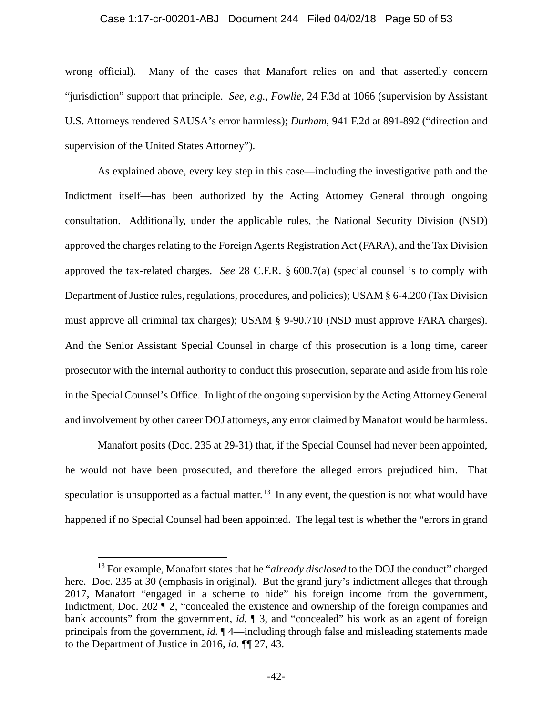#### Case 1:17-cr-00201-ABJ Document 244 Filed 04/02/18 Page 50 of 53

wrong official). Many of the cases that Manafort relies on and that assertedly concern "jurisdiction" support that principle. *See, e.g., Fowlie*, 24 F.3d at 1066 (supervision by Assistant U.S. Attorneys rendered SAUSA's error harmless); *Durham*, 941 F.2d at 891-892 ("direction and supervision of the United States Attorney").

As explained above, every key step in this case—including the investigative path and the Indictment itself—has been authorized by the Acting Attorney General through ongoing consultation. Additionally, under the applicable rules, the National Security Division (NSD) approved the charges relating to the Foreign Agents Registration Act (FARA), and the Tax Division approved the tax-related charges. *See* 28 C.F.R. § 600.7(a) (special counsel is to comply with Department of Justice rules, regulations, procedures, and policies); USAM § 6-4.200 (Tax Division must approve all criminal tax charges); USAM § 9-90.710 (NSD must approve FARA charges). And the Senior Assistant Special Counsel in charge of this prosecution is a long time, career prosecutor with the internal authority to conduct this prosecution, separate and aside from his role in the Special Counsel's Office. In light of the ongoing supervision by the Acting Attorney General and involvement by other career DOJ attorneys, any error claimed by Manafort would be harmless.

Manafort posits (Doc. 235 at 29-31) that, if the Special Counsel had never been appointed, he would not have been prosecuted, and therefore the alleged errors prejudiced him. That speculation is unsupported as a factual matter.<sup>13</sup> In any event, the question is not what would have happened if no Special Counsel had been appointed. The legal test is whether the "errors in grand

 $\overline{a}$ 

<sup>&</sup>lt;sup>13</sup> For example, Manafort states that he "*already disclosed* to the DOJ the conduct" charged here. Doc. 235 at 30 (emphasis in original). But the grand jury's indictment alleges that through 2017, Manafort "engaged in a scheme to hide" his foreign income from the government, Indictment, Doc. 202  $\mathbb{T}$  2, "concealed the existence and ownership of the foreign companies and bank accounts" from the government, *id.* ¶ 3, and "concealed" his work as an agent of foreign principals from the government, *id.* ¶ 4—including through false and misleading statements made to the Department of Justice in 2016, *id.* ¶¶ 27, 43.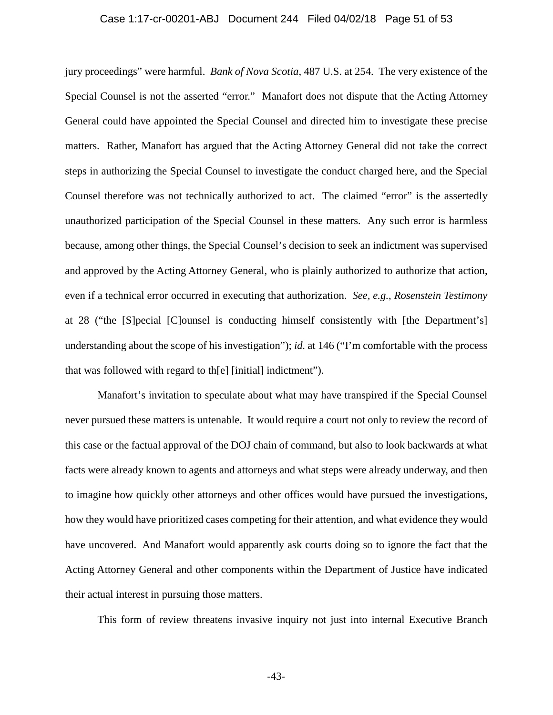#### Case 1:17-cr-00201-ABJ Document 244 Filed 04/02/18 Page 51 of 53

jury proceedings" were harmful. *Bank of Nova Scotia*, 487 U.S. at 254. The very existence of the Special Counsel is not the asserted "error." Manafort does not dispute that the Acting Attorney General could have appointed the Special Counsel and directed him to investigate these precise matters. Rather, Manafort has argued that the Acting Attorney General did not take the correct steps in authorizing the Special Counsel to investigate the conduct charged here, and the Special Counsel therefore was not technically authorized to act. The claimed "error" is the assertedly unauthorized participation of the Special Counsel in these matters. Any such error is harmless because, among other things, the Special Counsel's decision to seek an indictment was supervised and approved by the Acting Attorney General, who is plainly authorized to authorize that action, even if a technical error occurred in executing that authorization. *See, e.g.*, *Rosenstein Testimony*  at 28 ("the [S]pecial [C]ounsel is conducting himself consistently with [the Department's] understanding about the scope of his investigation"); *id.* at 146 ("I'm comfortable with the process that was followed with regard to th[e] [initial] indictment").

Manafort's invitation to speculate about what may have transpired if the Special Counsel never pursued these matters is untenable. It would require a court not only to review the record of this case or the factual approval of the DOJ chain of command, but also to look backwards at what facts were already known to agents and attorneys and what steps were already underway, and then to imagine how quickly other attorneys and other offices would have pursued the investigations, how they would have prioritized cases competing for their attention, and what evidence they would have uncovered. And Manafort would apparently ask courts doing so to ignore the fact that the Acting Attorney General and other components within the Department of Justice have indicated their actual interest in pursuing those matters.

This form of review threatens invasive inquiry not just into internal Executive Branch

-43-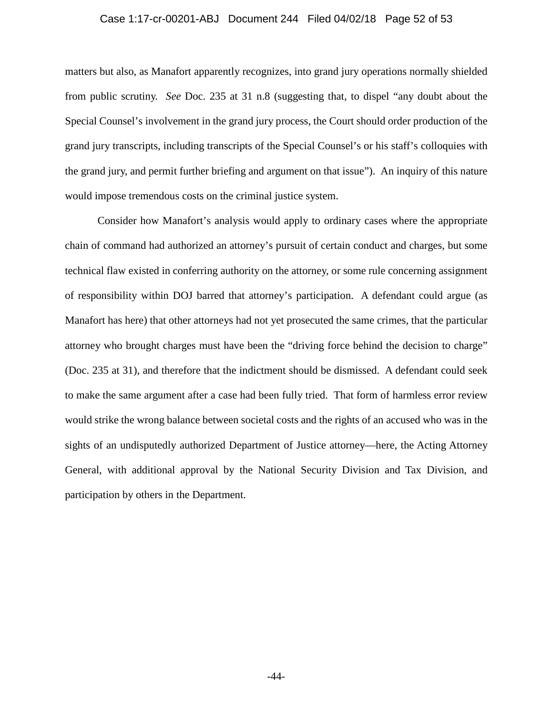#### Case 1:17-cr-00201-ABJ Document 244 Filed 04/02/18 Page 52 of 53

matters but also, as Manafort apparently recognizes, into grand jury operations normally shielded from public scrutiny. *See* Doc. 235 at 31 n.8 (suggesting that, to dispel "any doubt about the Special Counsel's involvement in the grand jury process, the Court should order production of the grand jury transcripts, including transcripts of the Special Counsel's or his staff's colloquies with the grand jury, and permit further briefing and argument on that issue"). An inquiry of this nature would impose tremendous costs on the criminal justice system.

Consider how Manafort's analysis would apply to ordinary cases where the appropriate chain of command had authorized an attorney's pursuit of certain conduct and charges, but some technical flaw existed in conferring authority on the attorney, or some rule concerning assignment of responsibility within DOJ barred that attorney's participation. A defendant could argue (as Manafort has here) that other attorneys had not yet prosecuted the same crimes, that the particular attorney who brought charges must have been the "driving force behind the decision to charge" (Doc. 235 at 31), and therefore that the indictment should be dismissed. A defendant could seek to make the same argument after a case had been fully tried. That form of harmless error review would strike the wrong balance between societal costs and the rights of an accused who was in the sights of an undisputedly authorized Department of Justice attorney—here, the Acting Attorney General, with additional approval by the National Security Division and Tax Division, and participation by others in the Department.